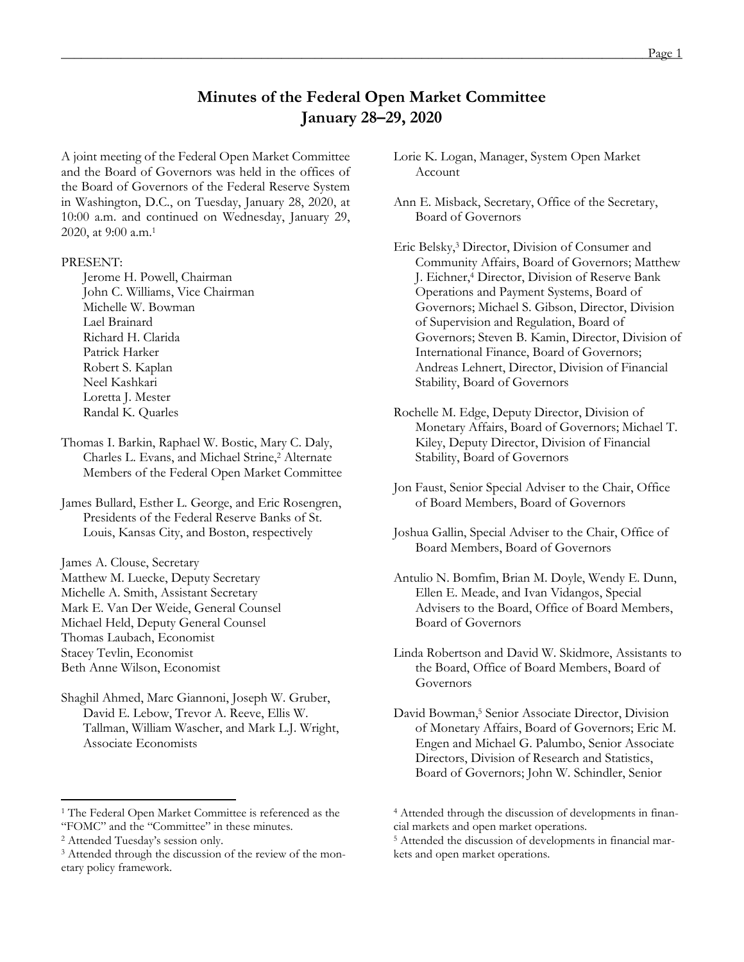# **Minutes of the Federal Open Market Committee January 28–29, 2020**

A joint meeting of the Federal Open Market Committee and the Board of Governors was held in the offices of the Board of Governors of the Federal Reserve System in Washington, D.C., on Tuesday, January 28, 2020, at 10:00 a.m. and continued on Wednesday, January 29, 2020, at 9:00 a.m.1

#### PRESENT:

- Jerome H. Powell, Chairman John C. Williams, Vice Chairman Michelle W. Bowman Lael Brainard Richard H. Clarida Patrick Harker Robert S. Kaplan Neel Kashkari Loretta J. Mester Randal K. Quarles
- Thomas I. Barkin, Raphael W. Bostic, Mary C. Daly, Charles L. Evans, and Michael Strine,<sup>2</sup> Alternate Members of the Federal Open Market Committee
- James Bullard, Esther L. George, and Eric Rosengren, Presidents of the Federal Reserve Banks of St. Louis, Kansas City, and Boston, respectively

James A. Clouse, Secretary Matthew M. Luecke, Deputy Secretary Michelle A. Smith, Assistant Secretary Mark E. Van Der Weide, General Counsel Michael Held, Deputy General Counsel Thomas Laubach, Economist Stacey Tevlin, Economist Beth Anne Wilson, Economist

Shaghil Ahmed, Marc Giannoni, Joseph W. Gruber, David E. Lebow, Trevor A. Reeve, Ellis W. Tallman, William Wascher, and Mark L.J. Wright, Associate Economists

l

- Lorie K. Logan, Manager, System Open Market Account
- Ann E. Misback, Secretary, Office of the Secretary, Board of Governors

Eric Belsky,3 Director, Division of Consumer and Community Affairs, Board of Governors; Matthew J. Eichner,4 Director, Division of Reserve Bank Operations and Payment Systems, Board of Governors; Michael S. Gibson, Director, Division of Supervision and Regulation, Board of Governors; Steven B. Kamin, Director, Division of International Finance, Board of Governors; Andreas Lehnert, Director, Division of Financial Stability, Board of Governors

- Rochelle M. Edge, Deputy Director, Division of Monetary Affairs, Board of Governors; Michael T. Kiley, Deputy Director, Division of Financial Stability, Board of Governors
- Jon Faust, Senior Special Adviser to the Chair, Office of Board Members, Board of Governors
- Joshua Gallin, Special Adviser to the Chair, Office of Board Members, Board of Governors
- Antulio N. Bomfim, Brian M. Doyle, Wendy E. Dunn, Ellen E. Meade, and Ivan Vidangos, Special Advisers to the Board, Office of Board Members, Board of Governors
- Linda Robertson and David W. Skidmore, Assistants to the Board, Office of Board Members, Board of Governors
- David Bowman,5 Senior Associate Director, Division of Monetary Affairs, Board of Governors; Eric M. Engen and Michael G. Palumbo, Senior Associate Directors, Division of Research and Statistics, Board of Governors; John W. Schindler, Senior

<sup>&</sup>lt;sup>1</sup> The Federal Open Market Committee is referenced as the "FOMC" and the "Committee" in these minutes.

<sup>2</sup> Attended Tuesday's session only.

<sup>&</sup>lt;sup>3</sup> Attended through the discussion of the review of the monetary policy framework.

<sup>4</sup> Attended through the discussion of developments in financial markets and open market operations.

<sup>5</sup> Attended the discussion of developments in financial markets and open market operations.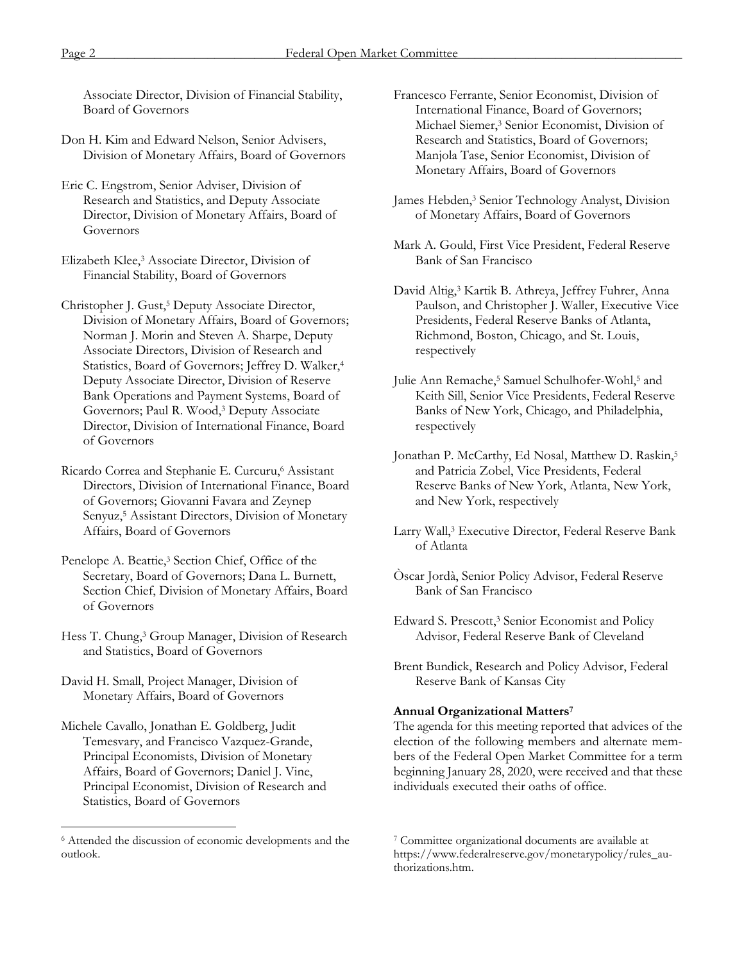Associate Director, Division of Financial Stability, Board of Governors

- Don H. Kim and Edward Nelson, Senior Advisers, Division of Monetary Affairs, Board of Governors
- Eric C. Engstrom, Senior Adviser, Division of Research and Statistics, and Deputy Associate Director, Division of Monetary Affairs, Board of Governors
- Elizabeth Klee,3 Associate Director, Division of Financial Stability, Board of Governors
- Christopher J. Gust,<sup>5</sup> Deputy Associate Director, Division of Monetary Affairs, Board of Governors; Norman J. Morin and Steven A. Sharpe, Deputy Associate Directors, Division of Research and Statistics, Board of Governors; Jeffrey D. Walker,<sup>4</sup> Deputy Associate Director, Division of Reserve Bank Operations and Payment Systems, Board of Governors; Paul R. Wood, <sup>3</sup> Deputy Associate Director, Division of International Finance, Board of Governors
- Ricardo Correa and Stephanie E. Curcuru,6 Assistant Directors, Division of International Finance, Board of Governors; Giovanni Favara and Zeynep Senyuz, <sup>5</sup> Assistant Directors, Division of Monetary Affairs, Board of Governors
- Penelope A. Beattie,<sup>3</sup> Section Chief, Office of the Secretary, Board of Governors; Dana L. Burnett, Section Chief, Division of Monetary Affairs, Board of Governors
- Hess T. Chung,<sup>3</sup> Group Manager, Division of Research and Statistics, Board of Governors
- David H. Small, Project Manager, Division of Monetary Affairs, Board of Governors

 $\overline{a}$ 

Michele Cavallo, Jonathan E. Goldberg, Judit Temesvary, and Francisco Vazquez-Grande, Principal Economists, Division of Monetary Affairs, Board of Governors; Daniel J. Vine, Principal Economist, Division of Research and Statistics, Board of Governors

- Francesco Ferrante, Senior Economist, Division of International Finance, Board of Governors; Michael Siemer, <sup>3</sup> Senior Economist, Division of Research and Statistics, Board of Governors; Manjola Tase, Senior Economist, Division of Monetary Affairs, Board of Governors
- James Hebden, <sup>3</sup> Senior Technology Analyst, Division of Monetary Affairs, Board of Governors
- Mark A. Gould, First Vice President, Federal Reserve Bank of San Francisco
- David Altig, <sup>3</sup> Kartik B. Athreya, Jeffrey Fuhrer, Anna Paulson, and Christopher J. Waller, Executive Vice Presidents, Federal Reserve Banks of Atlanta, Richmond, Boston, Chicago, and St. Louis, respectively
- Julie Ann Remache, <sup>5</sup> Samuel Schulhofer-Wohl, <sup>5</sup> and Keith Sill, Senior Vice Presidents, Federal Reserve Banks of New York, Chicago, and Philadelphia, respectively
- Jonathan P. McCarthy, Ed Nosal, Matthew D. Raskin,<sup>5</sup> and Patricia Zobel, Vice Presidents, Federal Reserve Banks of New York, Atlanta, New York, and New York, respectively
- Larry Wall, <sup>3</sup> Executive Director, Federal Reserve Bank of Atlanta
- Òscar Jordà, Senior Policy Advisor, Federal Reserve Bank of San Francisco
- Edward S. Prescott, <sup>3</sup> Senior Economist and Policy Advisor, Federal Reserve Bank of Cleveland
- Brent Bundick, Research and Policy Advisor, Federal Reserve Bank of Kansas City

# **Annual Organizational Matters7**

The agenda for this meeting reported that advices of the election of the following members and alternate members of the Federal Open Market Committee for a term beginning January 28, 2020, were received and that these individuals executed their oaths of office.

<sup>6</sup> Attended the discussion of economic developments and the outlook.

<sup>7</sup> Committee organizational documents are available at [https://www.federalreserve.gov/monetarypolicy/rules\\_au](https://www.federalreserve.gov/monetarypolicy/rules_authorizations.htm)[thorizations.htm.](https://www.federalreserve.gov/monetarypolicy/rules_authorizations.htm)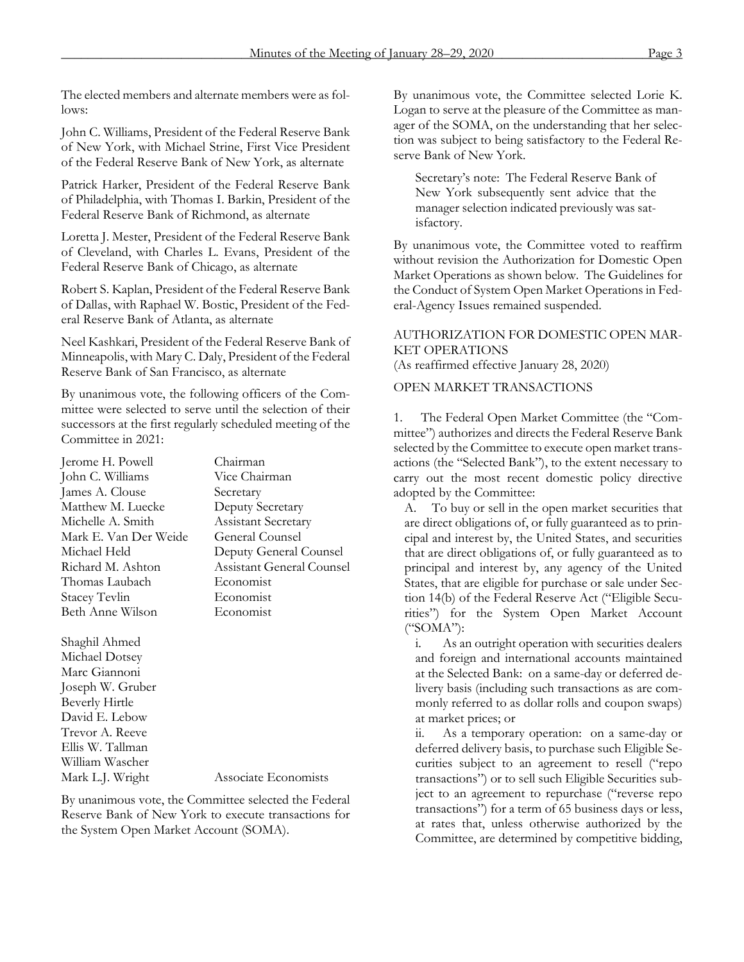The elected members and alternate members were as follows:

John C. Williams, President of the Federal Reserve Bank of New York, with Michael Strine, First Vice President of the Federal Reserve Bank of New York, as alternate

Patrick Harker, President of the Federal Reserve Bank of Philadelphia, with Thomas I. Barkin, President of the Federal Reserve Bank of Richmond, as alternate

Loretta J. Mester, President of the Federal Reserve Bank of Cleveland, with Charles L. Evans, President of the Federal Reserve Bank of Chicago, as alternate

Robert S. Kaplan, President of the Federal Reserve Bank of Dallas, with Raphael W. Bostic, President of the Federal Reserve Bank of Atlanta, as alternate

Neel Kashkari, President of the Federal Reserve Bank of Minneapolis, with Mary C. Daly, President of the Federal Reserve Bank of San Francisco, as alternate

By unanimous vote, the following officers of the Committee were selected to serve until the selection of their successors at the first regularly scheduled meeting of the Committee in 2021:

| Jerome H. Powell      | Chairman                   |
|-----------------------|----------------------------|
| John C. Williams      | Vice Chairman              |
| James A. Clouse       | Secretary                  |
| Matthew M. Luecke     | Deputy Secretary           |
| Michelle A. Smith     | <b>Assistant Secretary</b> |
| Mark E. Van Der Weide | General Counsel            |
| Michael Held          | Deputy General Co          |
| Richard M. Ashton     | Assistant General (        |
| Thomas Laubach        | Economist                  |
| Stacey Tevlin         | Economist                  |
| Beth Anne Wilson      | Economist                  |
|                       |                            |

Shaghil Ahmed Michael Dotsey Marc Giannoni Joseph W. Gruber Beverly Hirtle David E. Lebow Trevor A. Reeve Ellis W. Tallman William Wascher

Counsel al Counsel

### Mark L.J. Wright Associate Economists

By unanimous vote, the Committee selected the Federal Reserve Bank of New York to execute transactions for the System Open Market Account (SOMA).

By unanimous vote, the Committee selected Lorie K. Logan to serve at the pleasure of the Committee as manager of the SOMA, on the understanding that her selection was subject to being satisfactory to the Federal Reserve Bank of New York.

Secretary's note: The Federal Reserve Bank of New York subsequently sent advice that the manager selection indicated previously was satisfactory.

By unanimous vote, the Committee voted to reaffirm without revision the Authorization for Domestic Open Market Operations as shown below. The Guidelines for the Conduct of System Open Market Operations in Federal-Agency Issues remained suspended.

# AUTHORIZATION FOR DOMESTIC OPEN MAR-KET OPERATIONS

(As reaffirmed effective January 28, 2020)

# OPEN MARKET TRANSACTIONS

1. The Federal Open Market Committee (the "Committee") authorizes and directs the Federal Reserve Bank selected by the Committee to execute open market transactions (the "Selected Bank"), to the extent necessary to carry out the most recent domestic policy directive adopted by the Committee:

A. To buy or sell in the open market securities that are direct obligations of, or fully guaranteed as to principal and interest by, the United States, and securities that are direct obligations of, or fully guaranteed as to principal and interest by, any agency of the United States, that are eligible for purchase or sale under Section 14(b) of the Federal Reserve Act ("Eligible Securities") for the System Open Market Account ("SOMA"):

i. As an outright operation with securities dealers and foreign and international accounts maintained at the Selected Bank: on a same-day or deferred delivery basis (including such transactions as are commonly referred to as dollar rolls and coupon swaps) at market prices; or

ii. As a temporary operation: on a same-day or deferred delivery basis, to purchase such Eligible Securities subject to an agreement to resell ("repo transactions") or to sell such Eligible Securities subject to an agreement to repurchase ("reverse repo transactions") for a term of 65 business days or less, at rates that, unless otherwise authorized by the Committee, are determined by competitive bidding,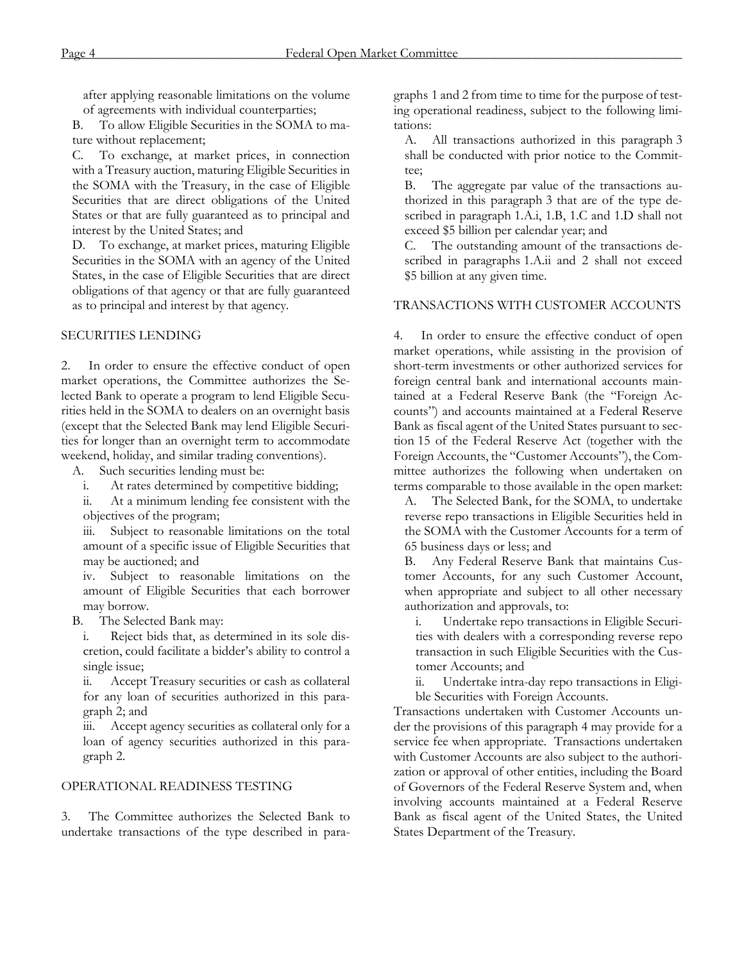after applying reasonable limitations on the volume of agreements with individual counterparties;

B. To allow Eligible Securities in the SOMA to mature without replacement;

C. To exchange, at market prices, in connection with a Treasury auction, maturing Eligible Securities in the SOMA with the Treasury, in the case of Eligible Securities that are direct obligations of the United States or that are fully guaranteed as to principal and interest by the United States; and

D. To exchange, at market prices, maturing Eligible Securities in the SOMA with an agency of the United States, in the case of Eligible Securities that are direct obligations of that agency or that are fully guaranteed as to principal and interest by that agency.

# SECURITIES LENDING

2. In order to ensure the effective conduct of open market operations, the Committee authorizes the Selected Bank to operate a program to lend Eligible Securities held in the SOMA to dealers on an overnight basis (except that the Selected Bank may lend Eligible Securities for longer than an overnight term to accommodate weekend, holiday, and similar trading conventions).

A. Such securities lending must be:

i. At rates determined by competitive bidding;

ii. At a minimum lending fee consistent with the objectives of the program;

iii. Subject to reasonable limitations on the total amount of a specific issue of Eligible Securities that may be auctioned; and

iv. Subject to reasonable limitations on the amount of Eligible Securities that each borrower may borrow.

B. The Selected Bank may:

i. Reject bids that, as determined in its sole discretion, could facilitate a bidder's ability to control a single issue;

ii. Accept Treasury securities or cash as collateral for any loan of securities authorized in this paragraph 2; and

iii. Accept agency securities as collateral only for a loan of agency securities authorized in this paragraph 2.

# OPERATIONAL READINESS TESTING

3. The Committee authorizes the Selected Bank to undertake transactions of the type described in paragraphs 1 and 2 from time to time for the purpose of testing operational readiness, subject to the following limitations:

A. All transactions authorized in this paragraph 3 shall be conducted with prior notice to the Committee;

B. The aggregate par value of the transactions authorized in this paragraph 3 that are of the type described in paragraph 1.A.i, 1.B, 1.C and 1.D shall not exceed \$5 billion per calendar year; and

C. The outstanding amount of the transactions described in paragraphs 1.A.ii and 2 shall not exceed \$5 billion at any given time.

# TRANSACTIONS WITH CUSTOMER ACCOUNTS

4. In order to ensure the effective conduct of open market operations, while assisting in the provision of short-term investments or other authorized services for foreign central bank and international accounts maintained at a Federal Reserve Bank (the "Foreign Accounts") and accounts maintained at a Federal Reserve Bank as fiscal agent of the United States pursuant to section 15 of the Federal Reserve Act (together with the Foreign Accounts, the "Customer Accounts"), the Committee authorizes the following when undertaken on terms comparable to those available in the open market:

A. The Selected Bank, for the SOMA, to undertake reverse repo transactions in Eligible Securities held in the SOMA with the Customer Accounts for a term of 65 business days or less; and

B. Any Federal Reserve Bank that maintains Customer Accounts, for any such Customer Account, when appropriate and subject to all other necessary authorization and approvals, to:

i. Undertake repo transactions in Eligible Securities with dealers with a corresponding reverse repo transaction in such Eligible Securities with the Customer Accounts; and

ii. Undertake intra-day repo transactions in Eligible Securities with Foreign Accounts.

Transactions undertaken with Customer Accounts under the provisions of this paragraph 4 may provide for a service fee when appropriate. Transactions undertaken with Customer Accounts are also subject to the authorization or approval of other entities, including the Board of Governors of the Federal Reserve System and, when involving accounts maintained at a Federal Reserve Bank as fiscal agent of the United States, the United States Department of the Treasury.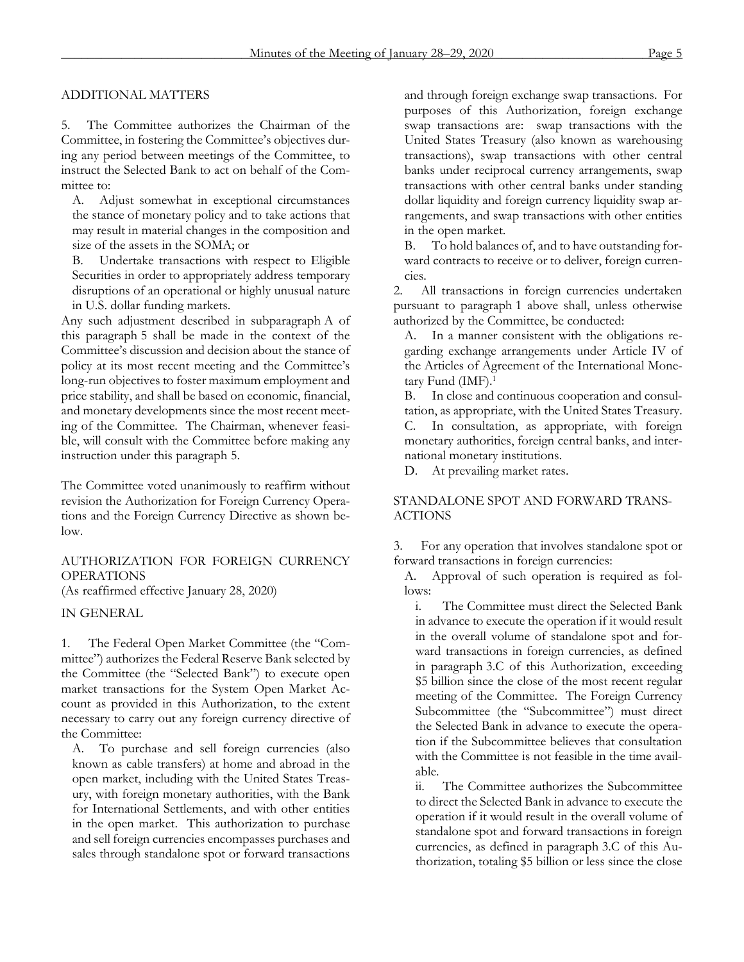5. The Committee authorizes the Chairman of the Committee, in fostering the Committee's objectives during any period between meetings of the Committee, to instruct the Selected Bank to act on behalf of the Committee to:

A. Adjust somewhat in exceptional circumstances the stance of monetary policy and to take actions that may result in material changes in the composition and size of the assets in the SOMA; or

B. Undertake transactions with respect to Eligible Securities in order to appropriately address temporary disruptions of an operational or highly unusual nature in U.S. dollar funding markets.

Any such adjustment described in subparagraph A of this paragraph 5 shall be made in the context of the Committee's discussion and decision about the stance of policy at its most recent meeting and the Committee's long-run objectives to foster maximum employment and price stability, and shall be based on economic, financial, and monetary developments since the most recent meeting of the Committee. The Chairman, whenever feasible, will consult with the Committee before making any instruction under this paragraph 5.

The Committee voted unanimously to reaffirm without revision the Authorization for Foreign Currency Operations and the Foreign Currency Directive as shown below.

### AUTHORIZATION FOR FOREIGN CURRENCY OPERATIONS

(As reaffirmed effective January 28, 2020)

IN GENERAL

1. The Federal Open Market Committee (the "Committee") authorizes the Federal Reserve Bank selected by the Committee (the "Selected Bank") to execute open market transactions for the System Open Market Account as provided in this Authorization, to the extent necessary to carry out any foreign currency directive of the Committee:

A. To purchase and sell foreign currencies (also known as cable transfers) at home and abroad in the open market, including with the United States Treasury, with foreign monetary authorities, with the Bank for International Settlements, and with other entities in the open market. This authorization to purchase and sell foreign currencies encompasses purchases and sales through standalone spot or forward transactions and through foreign exchange swap transactions. For purposes of this Authorization, foreign exchange swap transactions are: swap transactions with the United States Treasury (also known as warehousing transactions), swap transactions with other central banks under reciprocal currency arrangements, swap transactions with other central banks under standing dollar liquidity and foreign currency liquidity swap arrangements, and swap transactions with other entities in the open market.

B. To hold balances of, and to have outstanding forward contracts to receive or to deliver, foreign currencies.

2. All transactions in foreign currencies undertaken pursuant to paragraph 1 above shall, unless otherwise authorized by the Committee, be conducted:

A. In a manner consistent with the obligations regarding exchange arrangements under Article IV of the Articles of Agreement of the International Monetary Fund (IMF).1

B. In close and continuous cooperation and consultation, as appropriate, with the United States Treasury. C. In consultation, as appropriate, with foreign monetary authorities, foreign central banks, and international monetary institutions.

D. At prevailing market rates.

# STANDALONE SPOT AND FORWARD TRANS-ACTIONS

3. For any operation that involves standalone spot or forward transactions in foreign currencies:

A. Approval of such operation is required as follows:

i. The Committee must direct the Selected Bank in advance to execute the operation if it would result in the overall volume of standalone spot and forward transactions in foreign currencies, as defined in paragraph 3.C of this Authorization, exceeding \$5 billion since the close of the most recent regular meeting of the Committee. The Foreign Currency Subcommittee (the "Subcommittee") must direct the Selected Bank in advance to execute the operation if the Subcommittee believes that consultation with the Committee is not feasible in the time available.

ii. The Committee authorizes the Subcommittee to direct the Selected Bank in advance to execute the operation if it would result in the overall volume of standalone spot and forward transactions in foreign currencies, as defined in paragraph 3.C of this Authorization, totaling \$5 billion or less since the close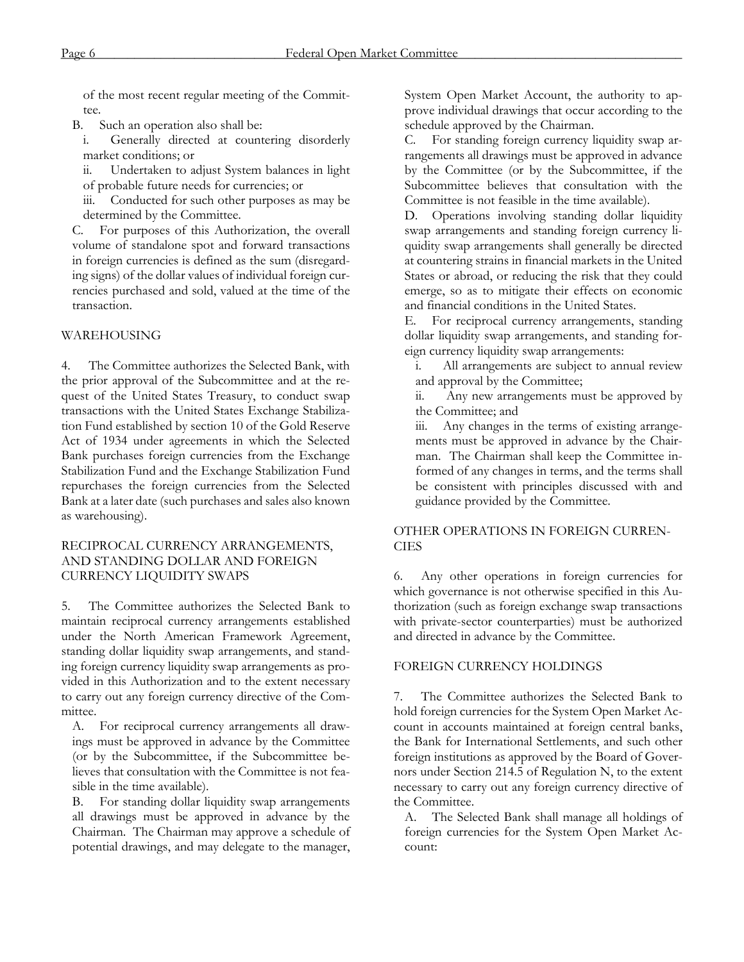of the most recent regular meeting of the Committee.

B. Such an operation also shall be:

i. Generally directed at countering disorderly market conditions; or

ii. Undertaken to adjust System balances in light of probable future needs for currencies; or

iii. Conducted for such other purposes as may be determined by the Committee.

C. For purposes of this Authorization, the overall volume of standalone spot and forward transactions in foreign currencies is defined as the sum (disregarding signs) of the dollar values of individual foreign currencies purchased and sold, valued at the time of the transaction.

### WAREHOUSING

4. The Committee authorizes the Selected Bank, with the prior approval of the Subcommittee and at the request of the United States Treasury, to conduct swap transactions with the United States Exchange Stabilization Fund established by section 10 of the Gold Reserve Act of 1934 under agreements in which the Selected Bank purchases foreign currencies from the Exchange Stabilization Fund and the Exchange Stabilization Fund repurchases the foreign currencies from the Selected Bank at a later date (such purchases and sales also known as warehousing).

### RECIPROCAL CURRENCY ARRANGEMENTS, AND STANDING DOLLAR AND FOREIGN CURRENCY LIQUIDITY SWAPS

5. The Committee authorizes the Selected Bank to maintain reciprocal currency arrangements established under the North American Framework Agreement, standing dollar liquidity swap arrangements, and standing foreign currency liquidity swap arrangements as provided in this Authorization and to the extent necessary to carry out any foreign currency directive of the Committee.

A. For reciprocal currency arrangements all drawings must be approved in advance by the Committee (or by the Subcommittee, if the Subcommittee believes that consultation with the Committee is not feasible in the time available).

B. For standing dollar liquidity swap arrangements all drawings must be approved in advance by the Chairman. The Chairman may approve a schedule of potential drawings, and may delegate to the manager, System Open Market Account, the authority to approve individual drawings that occur according to the schedule approved by the Chairman.

C. For standing foreign currency liquidity swap arrangements all drawings must be approved in advance by the Committee (or by the Subcommittee, if the Subcommittee believes that consultation with the Committee is not feasible in the time available).

D. Operations involving standing dollar liquidity swap arrangements and standing foreign currency liquidity swap arrangements shall generally be directed at countering strains in financial markets in the United States or abroad, or reducing the risk that they could emerge, so as to mitigate their effects on economic and financial conditions in the United States.

E. For reciprocal currency arrangements, standing dollar liquidity swap arrangements, and standing foreign currency liquidity swap arrangements:

i. All arrangements are subject to annual review and approval by the Committee;

ii. Any new arrangements must be approved by the Committee; and

iii. Any changes in the terms of existing arrangements must be approved in advance by the Chairman. The Chairman shall keep the Committee informed of any changes in terms, and the terms shall be consistent with principles discussed with and guidance provided by the Committee.

### OTHER OPERATIONS IN FOREIGN CURREN-**CIES**

6. Any other operations in foreign currencies for which governance is not otherwise specified in this Authorization (such as foreign exchange swap transactions with private-sector counterparties) must be authorized and directed in advance by the Committee.

#### FOREIGN CURRENCY HOLDINGS

7. The Committee authorizes the Selected Bank to hold foreign currencies for the System Open Market Account in accounts maintained at foreign central banks, the Bank for International Settlements, and such other foreign institutions as approved by the Board of Governors under Section 214.5 of Regulation N, to the extent necessary to carry out any foreign currency directive of the Committee.

A. The Selected Bank shall manage all holdings of foreign currencies for the System Open Market Account: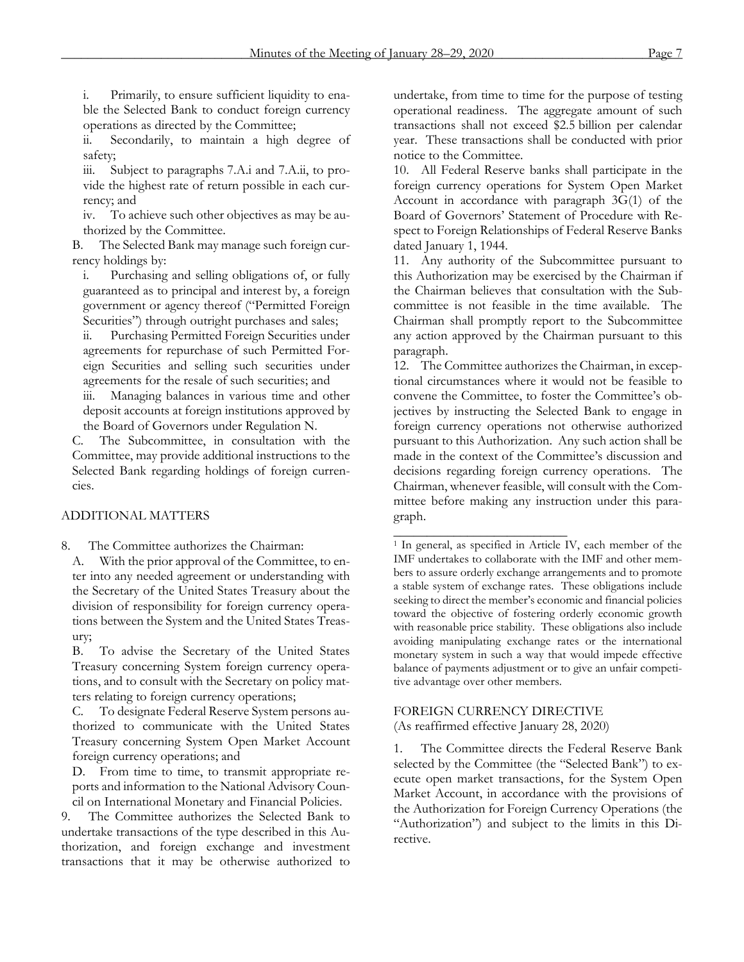i. Primarily, to ensure sufficient liquidity to enable the Selected Bank to conduct foreign currency operations as directed by the Committee;

ii. Secondarily, to maintain a high degree of safety;

iii. Subject to paragraphs 7.A.i and 7.A.ii, to provide the highest rate of return possible in each currency; and

iv. To achieve such other objectives as may be authorized by the Committee.

B. The Selected Bank may manage such foreign currency holdings by:

i. Purchasing and selling obligations of, or fully guaranteed as to principal and interest by, a foreign government or agency thereof ("Permitted Foreign Securities") through outright purchases and sales;

Purchasing Permitted Foreign Securities under agreements for repurchase of such Permitted Foreign Securities and selling such securities under agreements for the resale of such securities; and

iii. Managing balances in various time and other deposit accounts at foreign institutions approved by the Board of Governors under Regulation N.

C. The Subcommittee, in consultation with the Committee, may provide additional instructions to the Selected Bank regarding holdings of foreign currencies.

#### ADDITIONAL MATTERS

8. The Committee authorizes the Chairman:

A. With the prior approval of the Committee, to enter into any needed agreement or understanding with the Secretary of the United States Treasury about the division of responsibility for foreign currency operations between the System and the United States Treasury;

B. To advise the Secretary of the United States Treasury concerning System foreign currency operations, and to consult with the Secretary on policy matters relating to foreign currency operations;

C. To designate Federal Reserve System persons authorized to communicate with the United States Treasury concerning System Open Market Account foreign currency operations; and

D. From time to time, to transmit appropriate reports and information to the National Advisory Council on International Monetary and Financial Policies.

9. The Committee authorizes the Selected Bank to undertake transactions of the type described in this Authorization, and foreign exchange and investment transactions that it may be otherwise authorized to undertake, from time to time for the purpose of testing operational readiness. The aggregate amount of such transactions shall not exceed \$2.5 billion per calendar year. These transactions shall be conducted with prior notice to the Committee.

10. All Federal Reserve banks shall participate in the foreign currency operations for System Open Market Account in accordance with paragraph 3G(1) of the Board of Governors' Statement of Procedure with Respect to Foreign Relationships of Federal Reserve Banks dated January 1, 1944.

11. Any authority of the Subcommittee pursuant to this Authorization may be exercised by the Chairman if the Chairman believes that consultation with the Subcommittee is not feasible in the time available. The Chairman shall promptly report to the Subcommittee any action approved by the Chairman pursuant to this paragraph.

12. The Committee authorizes the Chairman, in exceptional circumstances where it would not be feasible to convene the Committee, to foster the Committee's objectives by instructing the Selected Bank to engage in foreign currency operations not otherwise authorized pursuant to this Authorization. Any such action shall be made in the context of the Committee's discussion and decisions regarding foreign currency operations. The Chairman, whenever feasible, will consult with the Committee before making any instruction under this paragraph.

### FOREIGN CURRENCY DIRECTIVE

\_\_\_\_\_\_\_\_\_\_\_\_\_\_\_\_\_\_\_\_\_\_\_\_\_\_

(As reaffirmed effective January 28, 2020)

1. The Committee directs the Federal Reserve Bank selected by the Committee (the "Selected Bank") to execute open market transactions, for the System Open Market Account, in accordance with the provisions of the Authorization for Foreign Currency Operations (the "Authorization") and subject to the limits in this Directive.

<sup>&</sup>lt;sup>1</sup> In general, as specified in Article IV, each member of the IMF undertakes to collaborate with the IMF and other members to assure orderly exchange arrangements and to promote a stable system of exchange rates. These obligations include seeking to direct the member's economic and financial policies toward the objective of fostering orderly economic growth with reasonable price stability. These obligations also include avoiding manipulating exchange rates or the international monetary system in such a way that would impede effective balance of payments adjustment or to give an unfair competitive advantage over other members.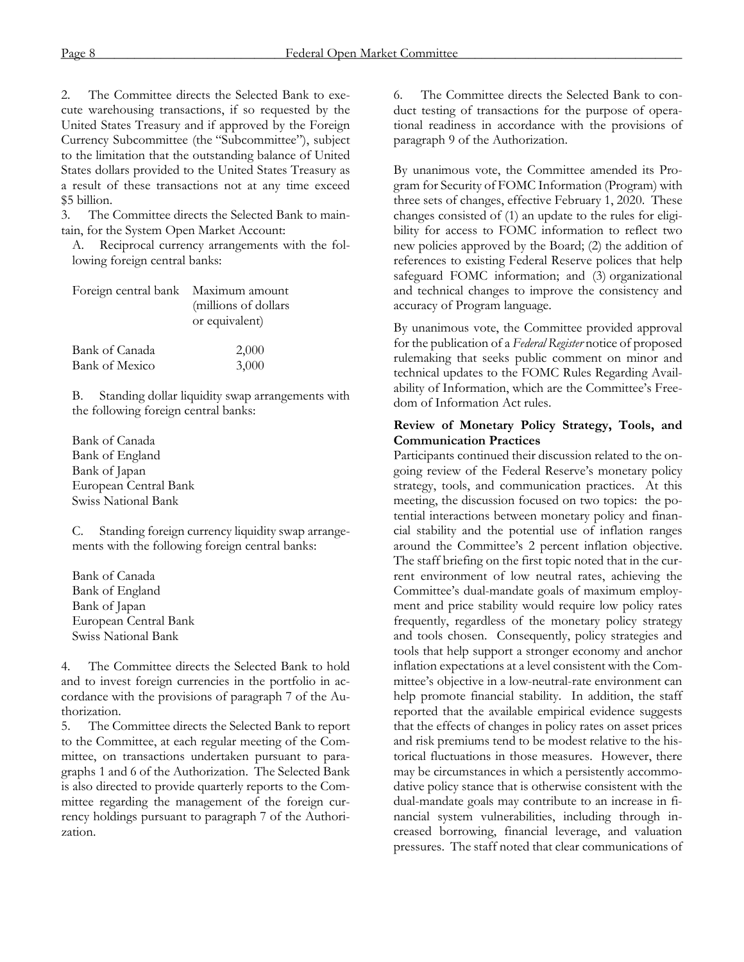2. The Committee directs the Selected Bank to execute warehousing transactions, if so requested by the United States Treasury and if approved by the Foreign Currency Subcommittee (the "Subcommittee"), subject to the limitation that the outstanding balance of United States dollars provided to the United States Treasury as a result of these transactions not at any time exceed \$5 billion.

3. The Committee directs the Selected Bank to maintain, for the System Open Market Account:

A. Reciprocal currency arrangements with the following foreign central banks:

| Foreign central bank Maximum amount | (millions of dollars)<br>or equivalent) |
|-------------------------------------|-----------------------------------------|
| Bank of Canada                      | 2,000                                   |
| Bank of Mexico                      | 3,000                                   |

B. Standing dollar liquidity swap arrangements with the following foreign central banks:

Bank of Canada Bank of England Bank of Japan European Central Bank Swiss National Bank

C. Standing foreign currency liquidity swap arrangements with the following foreign central banks:

Bank of Canada Bank of England Bank of Japan European Central Bank Swiss National Bank

4. The Committee directs the Selected Bank to hold and to invest foreign currencies in the portfolio in accordance with the provisions of paragraph 7 of the Authorization.

5. The Committee directs the Selected Bank to report to the Committee, at each regular meeting of the Committee, on transactions undertaken pursuant to paragraphs 1 and 6 of the Authorization. The Selected Bank is also directed to provide quarterly reports to the Committee regarding the management of the foreign currency holdings pursuant to paragraph 7 of the Authorization.

6. The Committee directs the Selected Bank to conduct testing of transactions for the purpose of operational readiness in accordance with the provisions of paragraph 9 of the Authorization.

By unanimous vote, the Committee amended its Program for Security of FOMC Information (Program) with three sets of changes, effective February 1, 2020. These changes consisted of (1) an update to the rules for eligibility for access to FOMC information to reflect two new policies approved by the Board; (2) the addition of references to existing Federal Reserve polices that help safeguard FOMC information; and (3) organizational and technical changes to improve the consistency and accuracy of Program language.

By unanimous vote, the Committee provided approval for the publication of a *Federal Register* notice of proposed rulemaking that seeks public comment on minor and technical updates to the FOMC Rules Regarding Availability of Information, which are the Committee's Freedom of Information Act rules.

### **Review of Monetary Policy Strategy, Tools, and Communication Practices**

Participants continued their discussion related to the ongoing review of the Federal Reserve's monetary policy strategy, tools, and communication practices. At this meeting, the discussion focused on two topics: the potential interactions between monetary policy and financial stability and the potential use of inflation ranges around the Committee's 2 percent inflation objective. The staff briefing on the first topic noted that in the current environment of low neutral rates, achieving the Committee's dual-mandate goals of maximum employment and price stability would require low policy rates frequently, regardless of the monetary policy strategy and tools chosen. Consequently, policy strategies and tools that help support a stronger economy and anchor inflation expectations at a level consistent with the Committee's objective in a low-neutral-rate environment can help promote financial stability. In addition, the staff reported that the available empirical evidence suggests that the effects of changes in policy rates on asset prices and risk premiums tend to be modest relative to the historical fluctuations in those measures. However, there may be circumstances in which a persistently accommodative policy stance that is otherwise consistent with the dual-mandate goals may contribute to an increase in financial system vulnerabilities, including through increased borrowing, financial leverage, and valuation pressures. The staff noted that clear communications of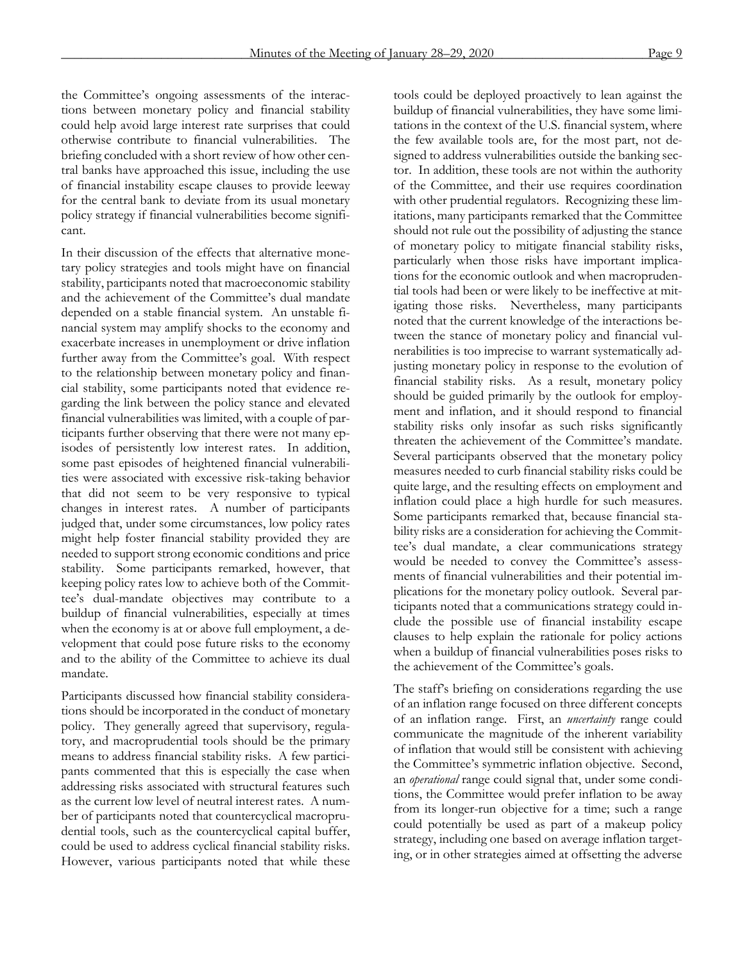the Committee's ongoing assessments of the interactions between monetary policy and financial stability could help avoid large interest rate surprises that could otherwise contribute to financial vulnerabilities. The briefing concluded with a short review of how other central banks have approached this issue, including the use of financial instability escape clauses to provide leeway for the central bank to deviate from its usual monetary policy strategy if financial vulnerabilities become significant.

In their discussion of the effects that alternative monetary policy strategies and tools might have on financial stability, participants noted that macroeconomic stability and the achievement of the Committee's dual mandate depended on a stable financial system. An unstable financial system may amplify shocks to the economy and exacerbate increases in unemployment or drive inflation further away from the Committee's goal. With respect to the relationship between monetary policy and financial stability, some participants noted that evidence regarding the link between the policy stance and elevated financial vulnerabilities was limited, with a couple of participants further observing that there were not many episodes of persistently low interest rates. In addition, some past episodes of heightened financial vulnerabilities were associated with excessive risk-taking behavior that did not seem to be very responsive to typical changes in interest rates. A number of participants judged that, under some circumstances, low policy rates might help foster financial stability provided they are needed to support strong economic conditions and price stability. Some participants remarked, however, that keeping policy rates low to achieve both of the Committee's dual-mandate objectives may contribute to a buildup of financial vulnerabilities, especially at times when the economy is at or above full employment, a development that could pose future risks to the economy and to the ability of the Committee to achieve its dual mandate.

Participants discussed how financial stability considerations should be incorporated in the conduct of monetary policy. They generally agreed that supervisory, regulatory, and macroprudential tools should be the primary means to address financial stability risks. A few participants commented that this is especially the case when addressing risks associated with structural features such as the current low level of neutral interest rates. A number of participants noted that countercyclical macroprudential tools, such as the countercyclical capital buffer, could be used to address cyclical financial stability risks. However, various participants noted that while these tools could be deployed proactively to lean against the buildup of financial vulnerabilities, they have some limitations in the context of the U.S. financial system, where the few available tools are, for the most part, not designed to address vulnerabilities outside the banking sector. In addition, these tools are not within the authority of the Committee, and their use requires coordination with other prudential regulators. Recognizing these limitations, many participants remarked that the Committee should not rule out the possibility of adjusting the stance of monetary policy to mitigate financial stability risks, particularly when those risks have important implications for the economic outlook and when macroprudential tools had been or were likely to be ineffective at mitigating those risks. Nevertheless, many participants noted that the current knowledge of the interactions between the stance of monetary policy and financial vulnerabilities is too imprecise to warrant systematically adjusting monetary policy in response to the evolution of financial stability risks. As a result, monetary policy should be guided primarily by the outlook for employment and inflation, and it should respond to financial stability risks only insofar as such risks significantly threaten the achievement of the Committee's mandate. Several participants observed that the monetary policy measures needed to curb financial stability risks could be quite large, and the resulting effects on employment and inflation could place a high hurdle for such measures. Some participants remarked that, because financial stability risks are a consideration for achieving the Committee's dual mandate, a clear communications strategy would be needed to convey the Committee's assessments of financial vulnerabilities and their potential implications for the monetary policy outlook. Several participants noted that a communications strategy could include the possible use of financial instability escape clauses to help explain the rationale for policy actions when a buildup of financial vulnerabilities poses risks to the achievement of the Committee's goals.

The staff's briefing on considerations regarding the use of an inflation range focused on three different concepts of an inflation range. First, an *uncertainty* range could communicate the magnitude of the inherent variability of inflation that would still be consistent with achieving the Committee's symmetric inflation objective. Second, an *operational* range could signal that, under some conditions, the Committee would prefer inflation to be away from its longer-run objective for a time; such a range could potentially be used as part of a makeup policy strategy, including one based on average inflation targeting, or in other strategies aimed at offsetting the adverse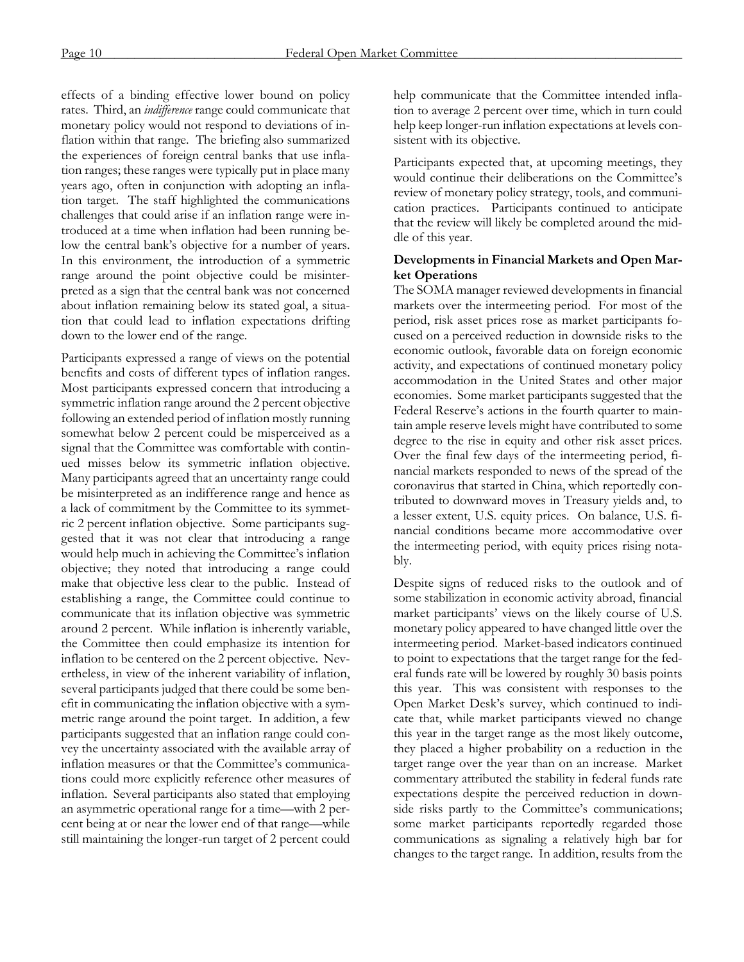effects of a binding effective lower bound on policy rates. Third, an *indifference* range could communicate that monetary policy would not respond to deviations of inflation within that range. The briefing also summarized the experiences of foreign central banks that use inflation ranges; these ranges were typically put in place many years ago, often in conjunction with adopting an inflation target. The staff highlighted the communications challenges that could arise if an inflation range were introduced at a time when inflation had been running below the central bank's objective for a number of years. In this environment, the introduction of a symmetric range around the point objective could be misinterpreted as a sign that the central bank was not concerned about inflation remaining below its stated goal, a situation that could lead to inflation expectations drifting down to the lower end of the range.

Participants expressed a range of views on the potential benefits and costs of different types of inflation ranges. Most participants expressed concern that introducing a symmetric inflation range around the 2 percent objective following an extended period of inflation mostly running somewhat below 2 percent could be misperceived as a signal that the Committee was comfortable with continued misses below its symmetric inflation objective. Many participants agreed that an uncertainty range could be misinterpreted as an indifference range and hence as a lack of commitment by the Committee to its symmetric 2 percent inflation objective. Some participants suggested that it was not clear that introducing a range would help much in achieving the Committee's inflation objective; they noted that introducing a range could make that objective less clear to the public. Instead of establishing a range, the Committee could continue to communicate that its inflation objective was symmetric around 2 percent. While inflation is inherently variable, the Committee then could emphasize its intention for inflation to be centered on the 2 percent objective. Nevertheless, in view of the inherent variability of inflation, several participants judged that there could be some benefit in communicating the inflation objective with a symmetric range around the point target. In addition, a few participants suggested that an inflation range could convey the uncertainty associated with the available array of inflation measures or that the Committee's communications could more explicitly reference other measures of inflation. Several participants also stated that employing an asymmetric operational range for a time—with 2 percent being at or near the lower end of that range—while still maintaining the longer-run target of 2 percent could help communicate that the Committee intended inflation to average 2 percent over time, which in turn could help keep longer-run inflation expectations at levels consistent with its objective.

Participants expected that, at upcoming meetings, they would continue their deliberations on the Committee's review of monetary policy strategy, tools, and communication practices. Participants continued to anticipate that the review will likely be completed around the middle of this year.

# **Developments in Financial Markets and Open Market Operations**

The SOMA manager reviewed developments in financial markets over the intermeeting period. For most of the period, risk asset prices rose as market participants focused on a perceived reduction in downside risks to the economic outlook, favorable data on foreign economic activity, and expectations of continued monetary policy accommodation in the United States and other major economies. Some market participants suggested that the Federal Reserve's actions in the fourth quarter to maintain ample reserve levels might have contributed to some degree to the rise in equity and other risk asset prices. Over the final few days of the intermeeting period, financial markets responded to news of the spread of the coronavirus that started in China, which reportedly contributed to downward moves in Treasury yields and, to a lesser extent, U.S. equity prices. On balance, U.S. financial conditions became more accommodative over the intermeeting period, with equity prices rising notably.

Despite signs of reduced risks to the outlook and of some stabilization in economic activity abroad, financial market participants' views on the likely course of U.S. monetary policy appeared to have changed little over the intermeeting period. Market-based indicators continued to point to expectations that the target range for the federal funds rate will be lowered by roughly 30 basis points this year. This was consistent with responses to the Open Market Desk's survey, which continued to indicate that, while market participants viewed no change this year in the target range as the most likely outcome, they placed a higher probability on a reduction in the target range over the year than on an increase. Market commentary attributed the stability in federal funds rate expectations despite the perceived reduction in downside risks partly to the Committee's communications; some market participants reportedly regarded those communications as signaling a relatively high bar for changes to the target range. In addition, results from the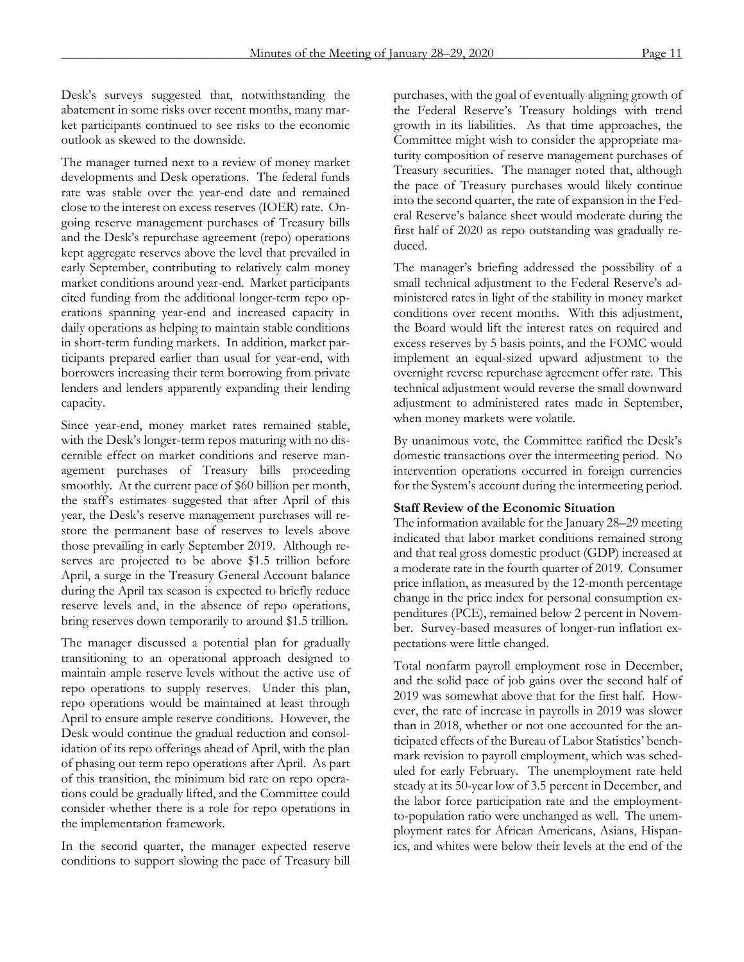Desk's surveys suggested that, notwithstanding the abatement in some risks over recent months, many market participants continued to see risks to the economic outlook as skewed to the downside.

The manager turned next to a review of money market developments and Desk operations. The federal funds rate was stable over the year-end date and remained close to the interest on excess reserves (IOER) rate. Ongoing reserve management purchases of Treasury bills and the Desk's repurchase agreement (repo) operations kept aggregate reserves above the level that prevailed in early September, contributing to relatively calm money market conditions around year-end. Market participants cited funding from the additional longer-term repo operations spanning year-end and increased capacity in daily operations as helping to maintain stable conditions in short-term funding markets. In addition, market participants prepared earlier than usual for year-end, with borrowers increasing their term borrowing from private lenders and lenders apparently expanding their lending capacity.

Since year-end, money market rates remained stable, with the Desk's longer-term repos maturing with no discernible effect on market conditions and reserve management purchases of Treasury bills proceeding smoothly. At the current pace of \$60 billion per month, the staff's estimates suggested that after April of this year, the Desk's reserve management purchases will restore the permanent base of reserves to levels above those prevailing in early September 2019. Although reserves are projected to be above \$1.5 trillion before April, a surge in the Treasury General Account balance during the April tax season is expected to briefly reduce reserve levels and, in the absence of repo operations, bring reserves down temporarily to around \$1.5 trillion.

The manager discussed a potential plan for gradually transitioning to an operational approach designed to maintain ample reserve levels without the active use of repo operations to supply reserves. Under this plan, repo operations would be maintained at least through April to ensure ample reserve conditions. However, the Desk would continue the gradual reduction and consolidation of its repo offerings ahead of April, with the plan of phasing out term repo operations after April. As part of this transition, the minimum bid rate on repo operations could be gradually lifted, and the Committee could consider whether there is a role for repo operations in the implementation framework.

In the second quarter, the manager expected reserve conditions to support slowing the pace of Treasury bill

purchases, with the goal of eventually aligning growth of the Federal Reserve's Treasury holdings with trend growth in its liabilities. As that time approaches, the Committee might wish to consider the appropriate maturity composition of reserve management purchases of Treasury securities. The manager noted that, although the pace of Treasury purchases would likely continue into the second quarter, the rate of expansion in the Federal Reserve's balance sheet would moderate during the first half of 2020 as repo outstanding was gradually reduced.

The manager's briefing addressed the possibility of a small technical adjustment to the Federal Reserve's administered rates in light of the stability in money market conditions over recent months. With this adjustment, the Board would lift the interest rates on required and excess reserves by 5 basis points, and the FOMC would implement an equal-sized upward adjustment to the overnight reverse repurchase agreement offer rate. This technical adjustment would reverse the small downward adjustment to administered rates made in September, when money markets were volatile.

By unanimous vote, the Committee ratified the Desk's domestic transactions over the intermeeting period. No intervention operations occurred in foreign currencies for the System's account during the intermeeting period.

# **Staff Review of the Economic Situation**

The information available for the January 28–29 meeting indicated that labor market conditions remained strong and that real gross domestic product (GDP) increased at a moderate rate in the fourth quarter of 2019. Consumer price inflation, as measured by the 12-month percentage change in the price index for personal consumption expenditures (PCE), remained below 2 percent in November. Survey-based measures of longer-run inflation expectations were little changed.

Total nonfarm payroll employment rose in December, and the solid pace of job gains over the second half of 2019 was somewhat above that for the first half. However, the rate of increase in payrolls in 2019 was slower than in 2018, whether or not one accounted for the anticipated effects of the Bureau of Labor Statistics' benchmark revision to payroll employment, which was scheduled for early February. The unemployment rate held steady at its 50-year low of 3.5 percent in December, and the labor force participation rate and the employmentto-population ratio were unchanged as well. The unemployment rates for African Americans, Asians, Hispanics, and whites were below their levels at the end of the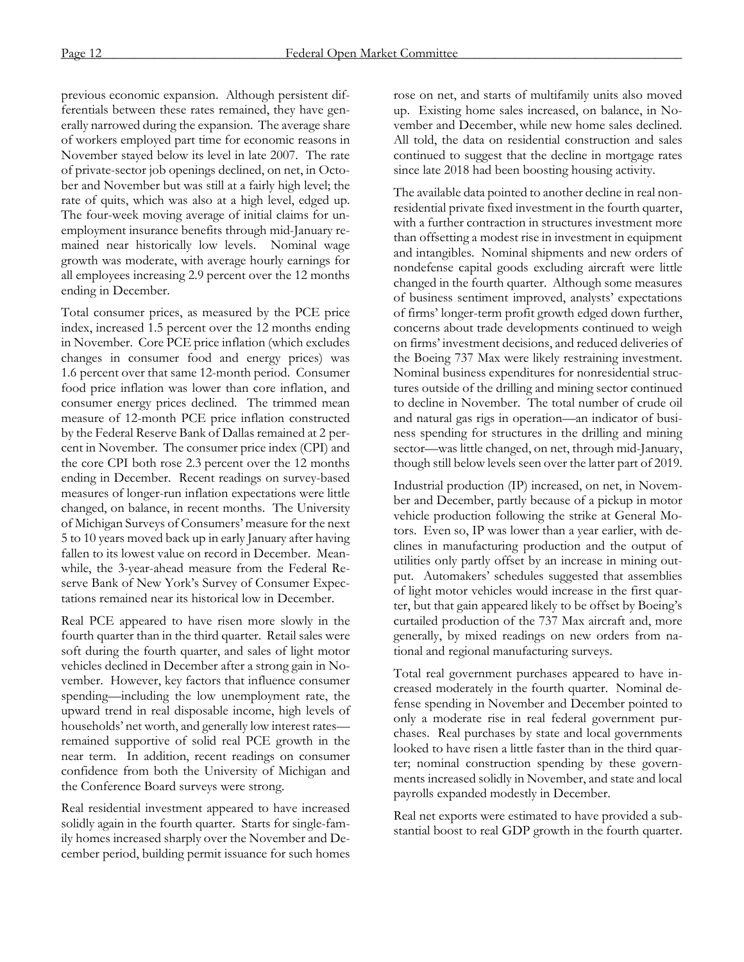previous economic expansion. Although persistent differentials between these rates remained, they have generally narrowed during the expansion. The average share of workers employed part time for economic reasons in November stayed below its level in late 2007. The rate of private-sector job openings declined, on net, in October and November but was still at a fairly high level; the rate of quits, which was also at a high level, edged up. The four-week moving average of initial claims for unemployment insurance benefits through mid-January remained near historically low levels. Nominal wage growth was moderate, with average hourly earnings for all employees increasing 2.9 percent over the 12 months ending in December.

Total consumer prices, as measured by the PCE price index, increased 1.5 percent over the 12 months ending in November. Core PCE price inflation (which excludes changes in consumer food and energy prices) was 1.6 percent over that same 12-month period. Consumer food price inflation was lower than core inflation, and consumer energy prices declined. The trimmed mean measure of 12-month PCE price inflation constructed by the Federal Reserve Bank of Dallas remained at 2 percent in November. The consumer price index (CPI) and the core CPI both rose 2.3 percent over the 12 months ending in December. Recent readings on survey-based measures of longer-run inflation expectations were little changed, on balance, in recent months. The University of Michigan Surveys of Consumers' measure for the next 5 to 10 years moved back up in early January after having fallen to its lowest value on record in December. Meanwhile, the 3-year-ahead measure from the Federal Reserve Bank of New York's Survey of Consumer Expectations remained near its historical low in December.

Real PCE appeared to have risen more slowly in the fourth quarter than in the third quarter. Retail sales were soft during the fourth quarter, and sales of light motor vehicles declined in December after a strong gain in November. However, key factors that influence consumer spending—including the low unemployment rate, the upward trend in real disposable income, high levels of households' net worth, and generally low interest rates remained supportive of solid real PCE growth in the near term. In addition, recent readings on consumer confidence from both the University of Michigan and the Conference Board surveys were strong.

Real residential investment appeared to have increased solidly again in the fourth quarter. Starts for single-family homes increased sharply over the November and December period, building permit issuance for such homes rose on net, and starts of multifamily units also moved up. Existing home sales increased, on balance, in November and December, while new home sales declined. All told, the data on residential construction and sales continued to suggest that the decline in mortgage rates since late 2018 had been boosting housing activity.

The available data pointed to another decline in real nonresidential private fixed investment in the fourth quarter, with a further contraction in structures investment more than offsetting a modest rise in investment in equipment and intangibles. Nominal shipments and new orders of nondefense capital goods excluding aircraft were little changed in the fourth quarter. Although some measures of business sentiment improved, analysts' expectations of firms' longer-term profit growth edged down further, concerns about trade developments continued to weigh on firms' investment decisions, and reduced deliveries of the Boeing 737 Max were likely restraining investment. Nominal business expenditures for nonresidential structures outside of the drilling and mining sector continued to decline in November. The total number of crude oil and natural gas rigs in operation—an indicator of business spending for structures in the drilling and mining sector—was little changed, on net, through mid-January, though still below levels seen over the latter part of 2019.

Industrial production (IP) increased, on net, in November and December, partly because of a pickup in motor vehicle production following the strike at General Motors. Even so, IP was lower than a year earlier, with declines in manufacturing production and the output of utilities only partly offset by an increase in mining output. Automakers' schedules suggested that assemblies of light motor vehicles would increase in the first quarter, but that gain appeared likely to be offset by Boeing's curtailed production of the 737 Max aircraft and, more generally, by mixed readings on new orders from national and regional manufacturing surveys.

Total real government purchases appeared to have increased moderately in the fourth quarter. Nominal defense spending in November and December pointed to only a moderate rise in real federal government purchases. Real purchases by state and local governments looked to have risen a little faster than in the third quarter; nominal construction spending by these governments increased solidly in November, and state and local payrolls expanded modestly in December.

Real net exports were estimated to have provided a substantial boost to real GDP growth in the fourth quarter.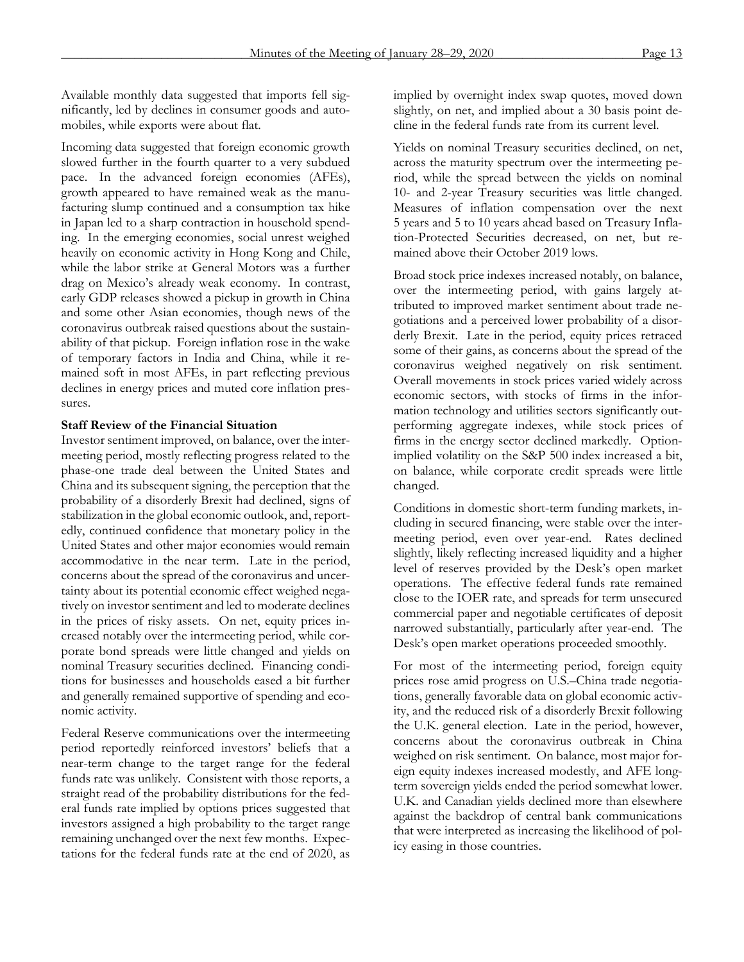Available monthly data suggested that imports fell significantly, led by declines in consumer goods and automobiles, while exports were about flat.

Incoming data suggested that foreign economic growth slowed further in the fourth quarter to a very subdued pace. In the advanced foreign economies (AFEs), growth appeared to have remained weak as the manufacturing slump continued and a consumption tax hike in Japan led to a sharp contraction in household spending. In the emerging economies, social unrest weighed heavily on economic activity in Hong Kong and Chile, while the labor strike at General Motors was a further drag on Mexico's already weak economy. In contrast, early GDP releases showed a pickup in growth in China and some other Asian economies, though news of the coronavirus outbreak raised questions about the sustainability of that pickup. Foreign inflation rose in the wake of temporary factors in India and China, while it remained soft in most AFEs, in part reflecting previous declines in energy prices and muted core inflation pressures.

### **Staff Review of the Financial Situation**

Investor sentiment improved, on balance, over the intermeeting period, mostly reflecting progress related to the phase-one trade deal between the United States and China and its subsequent signing, the perception that the probability of a disorderly Brexit had declined, signs of stabilization in the global economic outlook, and, reportedly, continued confidence that monetary policy in the United States and other major economies would remain accommodative in the near term. Late in the period, concerns about the spread of the coronavirus and uncertainty about its potential economic effect weighed negatively on investor sentiment and led to moderate declines in the prices of risky assets. On net, equity prices increased notably over the intermeeting period, while corporate bond spreads were little changed and yields on nominal Treasury securities declined. Financing conditions for businesses and households eased a bit further and generally remained supportive of spending and economic activity.

Federal Reserve communications over the intermeeting period reportedly reinforced investors' beliefs that a near-term change to the target range for the federal funds rate was unlikely. Consistent with those reports, a straight read of the probability distributions for the federal funds rate implied by options prices suggested that investors assigned a high probability to the target range remaining unchanged over the next few months. Expectations for the federal funds rate at the end of 2020, as

implied by overnight index swap quotes, moved down slightly, on net, and implied about a 30 basis point decline in the federal funds rate from its current level.

Yields on nominal Treasury securities declined, on net, across the maturity spectrum over the intermeeting period, while the spread between the yields on nominal 10- and 2-year Treasury securities was little changed. Measures of inflation compensation over the next 5 years and 5 to 10 years ahead based on Treasury Inflation-Protected Securities decreased, on net, but remained above their October 2019 lows.

Broad stock price indexes increased notably, on balance, over the intermeeting period, with gains largely attributed to improved market sentiment about trade negotiations and a perceived lower probability of a disorderly Brexit. Late in the period, equity prices retraced some of their gains, as concerns about the spread of the coronavirus weighed negatively on risk sentiment. Overall movements in stock prices varied widely across economic sectors, with stocks of firms in the information technology and utilities sectors significantly outperforming aggregate indexes, while stock prices of firms in the energy sector declined markedly. Optionimplied volatility on the S&P 500 index increased a bit, on balance, while corporate credit spreads were little changed.

Conditions in domestic short-term funding markets, including in secured financing, were stable over the intermeeting period, even over year-end. Rates declined slightly, likely reflecting increased liquidity and a higher level of reserves provided by the Desk's open market operations. The effective federal funds rate remained close to the IOER rate, and spreads for term unsecured commercial paper and negotiable certificates of deposit narrowed substantially, particularly after year-end. The Desk's open market operations proceeded smoothly.

For most of the intermeeting period, foreign equity prices rose amid progress on U.S.–China trade negotiations, generally favorable data on global economic activity, and the reduced risk of a disorderly Brexit following the U.K. general election. Late in the period, however, concerns about the coronavirus outbreak in China weighed on risk sentiment. On balance, most major foreign equity indexes increased modestly, and AFE longterm sovereign yields ended the period somewhat lower. U.K. and Canadian yields declined more than elsewhere against the backdrop of central bank communications that were interpreted as increasing the likelihood of policy easing in those countries.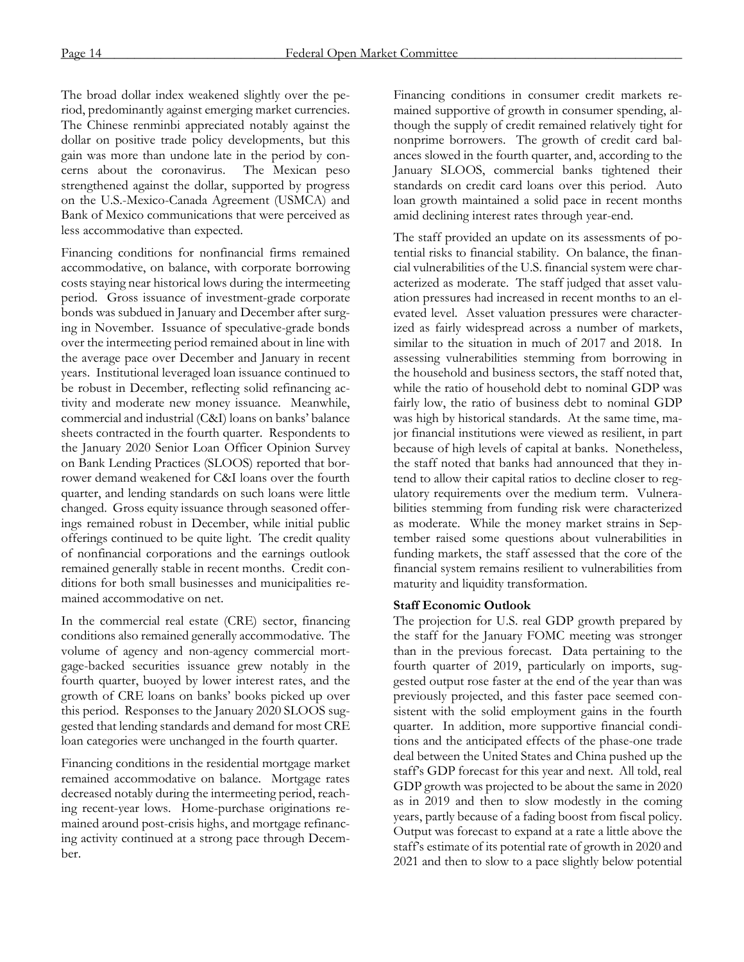The broad dollar index weakened slightly over the period, predominantly against emerging market currencies. The Chinese renminbi appreciated notably against the dollar on positive trade policy developments, but this gain was more than undone late in the period by concerns about the coronavirus. The Mexican peso strengthened against the dollar, supported by progress on the U.S.-Mexico-Canada Agreement (USMCA) and Bank of Mexico communications that were perceived as less accommodative than expected.

Financing conditions for nonfinancial firms remained accommodative, on balance, with corporate borrowing costs staying near historical lows during the intermeeting period. Gross issuance of investment-grade corporate bonds was subdued in January and December after surging in November. Issuance of speculative-grade bonds over the intermeeting period remained about in line with the average pace over December and January in recent years. Institutional leveraged loan issuance continued to be robust in December, reflecting solid refinancing activity and moderate new money issuance. Meanwhile, commercial and industrial (C&I) loans on banks' balance sheets contracted in the fourth quarter. Respondents to the January 2020 Senior Loan Officer Opinion Survey on Bank Lending Practices (SLOOS) reported that borrower demand weakened for C&I loans over the fourth quarter, and lending standards on such loans were little changed. Gross equity issuance through seasoned offerings remained robust in December, while initial public offerings continued to be quite light. The credit quality of nonfinancial corporations and the earnings outlook remained generally stable in recent months. Credit conditions for both small businesses and municipalities remained accommodative on net.

In the commercial real estate (CRE) sector, financing conditions also remained generally accommodative. The volume of agency and non-agency commercial mortgage-backed securities issuance grew notably in the fourth quarter, buoyed by lower interest rates, and the growth of CRE loans on banks' books picked up over this period. Responses to the January 2020 SLOOS suggested that lending standards and demand for most CRE loan categories were unchanged in the fourth quarter.

Financing conditions in the residential mortgage market remained accommodative on balance. Mortgage rates decreased notably during the intermeeting period, reaching recent-year lows. Home-purchase originations remained around post-crisis highs, and mortgage refinancing activity continued at a strong pace through December.

Financing conditions in consumer credit markets remained supportive of growth in consumer spending, although the supply of credit remained relatively tight for nonprime borrowers. The growth of credit card balances slowed in the fourth quarter, and, according to the January SLOOS, commercial banks tightened their standards on credit card loans over this period. Auto loan growth maintained a solid pace in recent months amid declining interest rates through year-end.

The staff provided an update on its assessments of potential risks to financial stability. On balance, the financial vulnerabilities of the U.S. financial system were characterized as moderate. The staff judged that asset valuation pressures had increased in recent months to an elevated level. Asset valuation pressures were characterized as fairly widespread across a number of markets, similar to the situation in much of 2017 and 2018. In assessing vulnerabilities stemming from borrowing in the household and business sectors, the staff noted that, while the ratio of household debt to nominal GDP was fairly low, the ratio of business debt to nominal GDP was high by historical standards. At the same time, major financial institutions were viewed as resilient, in part because of high levels of capital at banks. Nonetheless, the staff noted that banks had announced that they intend to allow their capital ratios to decline closer to regulatory requirements over the medium term. Vulnerabilities stemming from funding risk were characterized as moderate. While the money market strains in September raised some questions about vulnerabilities in funding markets, the staff assessed that the core of the financial system remains resilient to vulnerabilities from maturity and liquidity transformation.

# **Staff Economic Outlook**

The projection for U.S. real GDP growth prepared by the staff for the January FOMC meeting was stronger than in the previous forecast. Data pertaining to the fourth quarter of 2019, particularly on imports, suggested output rose faster at the end of the year than was previously projected, and this faster pace seemed consistent with the solid employment gains in the fourth quarter. In addition, more supportive financial conditions and the anticipated effects of the phase-one trade deal between the United States and China pushed up the staff's GDP forecast for this year and next. All told, real GDP growth was projected to be about the same in 2020 as in 2019 and then to slow modestly in the coming years, partly because of a fading boost from fiscal policy. Output was forecast to expand at a rate a little above the staff's estimate of its potential rate of growth in 2020 and 2021 and then to slow to a pace slightly below potential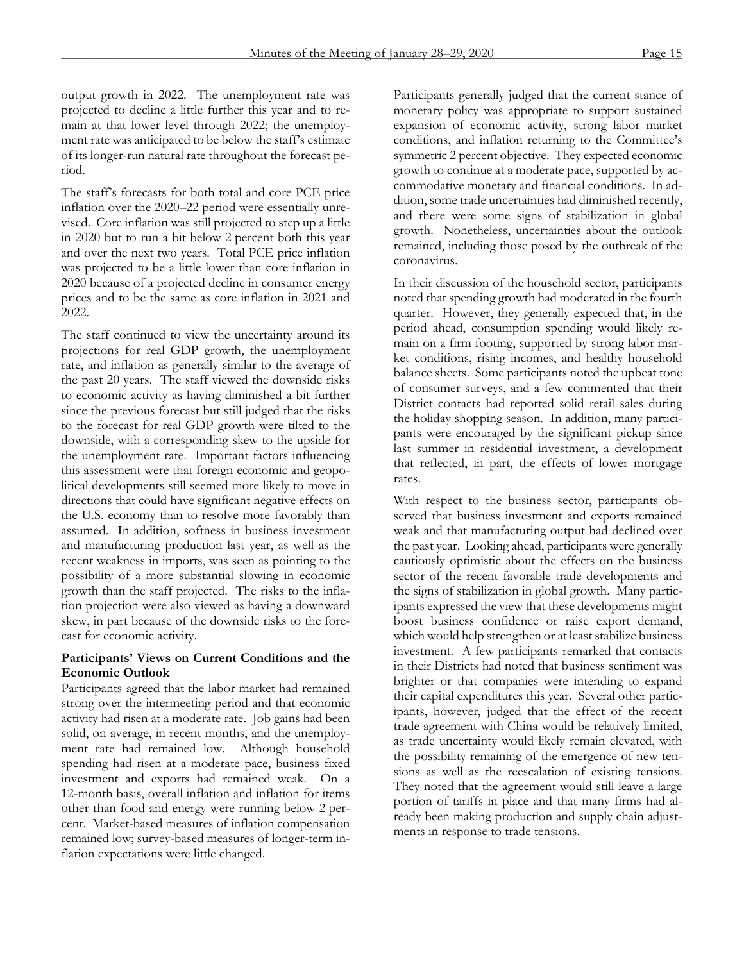output growth in 2022. The unemployment rate was projected to decline a little further this year and to remain at that lower level through 2022; the unemployment rate was anticipated to be below the staff's estimate of its longer-run natural rate throughout the forecast period.

The staff's forecasts for both total and core PCE price inflation over the 2020–22 period were essentially unrevised. Core inflation was still projected to step up a little in 2020 but to run a bit below 2 percent both this year and over the next two years. Total PCE price inflation was projected to be a little lower than core inflation in 2020 because of a projected decline in consumer energy prices and to be the same as core inflation in 2021 and 2022.

The staff continued to view the uncertainty around its projections for real GDP growth, the unemployment rate, and inflation as generally similar to the average of the past 20 years. The staff viewed the downside risks to economic activity as having diminished a bit further since the previous forecast but still judged that the risks to the forecast for real GDP growth were tilted to the downside, with a corresponding skew to the upside for the unemployment rate. Important factors influencing this assessment were that foreign economic and geopolitical developments still seemed more likely to move in directions that could have significant negative effects on the U.S. economy than to resolve more favorably than assumed. In addition, softness in business investment and manufacturing production last year, as well as the recent weakness in imports, was seen as pointing to the possibility of a more substantial slowing in economic growth than the staff projected. The risks to the inflation projection were also viewed as having a downward skew, in part because of the downside risks to the forecast for economic activity.

# **Participants' Views on Current Conditions and the Economic Outlook**

Participants agreed that the labor market had remained strong over the intermeeting period and that economic activity had risen at a moderate rate. Job gains had been solid, on average, in recent months, and the unemployment rate had remained low. Although household spending had risen at a moderate pace, business fixed investment and exports had remained weak. On a 12-month basis, overall inflation and inflation for items other than food and energy were running below 2 percent. Market-based measures of inflation compensation remained low; survey-based measures of longer-term inflation expectations were little changed.

Participants generally judged that the current stance of monetary policy was appropriate to support sustained expansion of economic activity, strong labor market conditions, and inflation returning to the Committee's symmetric 2 percent objective. They expected economic growth to continue at a moderate pace, supported by accommodative monetary and financial conditions. In addition, some trade uncertainties had diminished recently, and there were some signs of stabilization in global growth. Nonetheless, uncertainties about the outlook remained, including those posed by the outbreak of the coronavirus.

In their discussion of the household sector, participants noted that spending growth had moderated in the fourth quarter. However, they generally expected that, in the period ahead, consumption spending would likely remain on a firm footing, supported by strong labor market conditions, rising incomes, and healthy household balance sheets. Some participants noted the upbeat tone of consumer surveys, and a few commented that their District contacts had reported solid retail sales during the holiday shopping season. In addition, many participants were encouraged by the significant pickup since last summer in residential investment, a development that reflected, in part, the effects of lower mortgage rates.

With respect to the business sector, participants observed that business investment and exports remained weak and that manufacturing output had declined over the past year. Looking ahead, participants were generally cautiously optimistic about the effects on the business sector of the recent favorable trade developments and the signs of stabilization in global growth. Many participants expressed the view that these developments might boost business confidence or raise export demand, which would help strengthen or at least stabilize business investment. A few participants remarked that contacts in their Districts had noted that business sentiment was brighter or that companies were intending to expand their capital expenditures this year. Several other participants, however, judged that the effect of the recent trade agreement with China would be relatively limited, as trade uncertainty would likely remain elevated, with the possibility remaining of the emergence of new tensions as well as the reescalation of existing tensions. They noted that the agreement would still leave a large portion of tariffs in place and that many firms had already been making production and supply chain adjustments in response to trade tensions.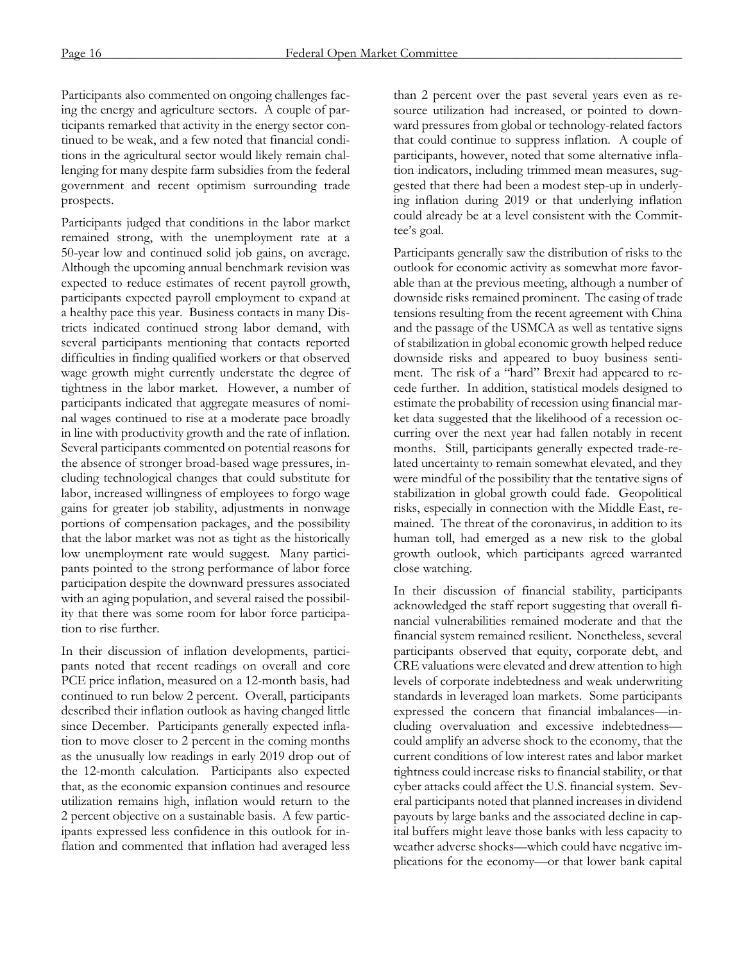Participants also commented on ongoing challenges facing the energy and agriculture sectors. A couple of participants remarked that activity in the energy sector continued to be weak, and a few noted that financial conditions in the agricultural sector would likely remain challenging for many despite farm subsidies from the federal government and recent optimism surrounding trade prospects.

Participants judged that conditions in the labor market remained strong, with the unemployment rate at a 50-year low and continued solid job gains, on average. Although the upcoming annual benchmark revision was expected to reduce estimates of recent payroll growth, participants expected payroll employment to expand at a healthy pace this year. Business contacts in many Districts indicated continued strong labor demand, with several participants mentioning that contacts reported difficulties in finding qualified workers or that observed wage growth might currently understate the degree of tightness in the labor market. However, a number of participants indicated that aggregate measures of nominal wages continued to rise at a moderate pace broadly in line with productivity growth and the rate of inflation. Several participants commented on potential reasons for the absence of stronger broad-based wage pressures, including technological changes that could substitute for labor, increased willingness of employees to forgo wage gains for greater job stability, adjustments in nonwage portions of compensation packages, and the possibility that the labor market was not as tight as the historically low unemployment rate would suggest. Many participants pointed to the strong performance of labor force participation despite the downward pressures associated with an aging population, and several raised the possibility that there was some room for labor force participation to rise further.

In their discussion of inflation developments, participants noted that recent readings on overall and core PCE price inflation, measured on a 12-month basis, had continued to run below 2 percent. Overall, participants described their inflation outlook as having changed little since December. Participants generally expected inflation to move closer to 2 percent in the coming months as the unusually low readings in early 2019 drop out of the 12-month calculation. Participants also expected that, as the economic expansion continues and resource utilization remains high, inflation would return to the 2 percent objective on a sustainable basis. A few participants expressed less confidence in this outlook for inflation and commented that inflation had averaged less than 2 percent over the past several years even as resource utilization had increased, or pointed to downward pressures from global or technology-related factors that could continue to suppress inflation. A couple of participants, however, noted that some alternative inflation indicators, including trimmed mean measures, suggested that there had been a modest step-up in underlying inflation during 2019 or that underlying inflation could already be at a level consistent with the Committee's goal.

Participants generally saw the distribution of risks to the outlook for economic activity as somewhat more favorable than at the previous meeting, although a number of downside risks remained prominent. The easing of trade tensions resulting from the recent agreement with China and the passage of the USMCA as well as tentative signs of stabilization in global economic growth helped reduce downside risks and appeared to buoy business sentiment. The risk of a "hard" Brexit had appeared to recede further. In addition, statistical models designed to estimate the probability of recession using financial market data suggested that the likelihood of a recession occurring over the next year had fallen notably in recent months. Still, participants generally expected trade-related uncertainty to remain somewhat elevated, and they were mindful of the possibility that the tentative signs of stabilization in global growth could fade. Geopolitical risks, especially in connection with the Middle East, remained. The threat of the coronavirus, in addition to its human toll, had emerged as a new risk to the global growth outlook, which participants agreed warranted close watching.

In their discussion of financial stability, participants acknowledged the staff report suggesting that overall financial vulnerabilities remained moderate and that the financial system remained resilient. Nonetheless, several participants observed that equity, corporate debt, and CRE valuations were elevated and drew attention to high levels of corporate indebtedness and weak underwriting standards in leveraged loan markets. Some participants expressed the concern that financial imbalances—including overvaluation and excessive indebtedness could amplify an adverse shock to the economy, that the current conditions of low interest rates and labor market tightness could increase risks to financial stability, or that cyber attacks could affect the U.S. financial system. Several participants noted that planned increases in dividend payouts by large banks and the associated decline in capital buffers might leave those banks with less capacity to weather adverse shocks—which could have negative implications for the economy—or that lower bank capital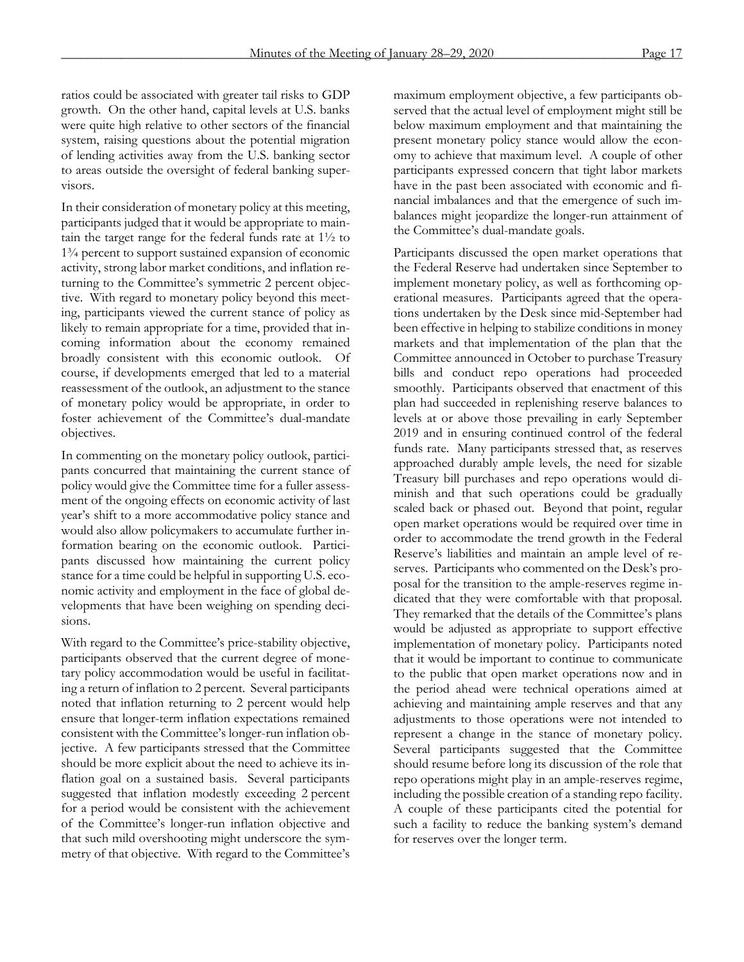ratios could be associated with greater tail risks to GDP growth. On the other hand, capital levels at U.S. banks were quite high relative to other sectors of the financial system, raising questions about the potential migration of lending activities away from the U.S. banking sector to areas outside the oversight of federal banking supervisors.

In their consideration of monetary policy at this meeting, participants judged that it would be appropriate to maintain the target range for the federal funds rate at  $1\frac{1}{2}$  to 1¾ percent to support sustained expansion of economic activity, strong labor market conditions, and inflation returning to the Committee's symmetric 2 percent objective. With regard to monetary policy beyond this meeting, participants viewed the current stance of policy as likely to remain appropriate for a time, provided that incoming information about the economy remained broadly consistent with this economic outlook. Of course, if developments emerged that led to a material reassessment of the outlook, an adjustment to the stance of monetary policy would be appropriate, in order to foster achievement of the Committee's dual-mandate objectives.

In commenting on the monetary policy outlook, participants concurred that maintaining the current stance of policy would give the Committee time for a fuller assessment of the ongoing effects on economic activity of last year's shift to a more accommodative policy stance and would also allow policymakers to accumulate further information bearing on the economic outlook. Participants discussed how maintaining the current policy stance for a time could be helpful in supporting U.S. economic activity and employment in the face of global developments that have been weighing on spending decisions.

With regard to the Committee's price-stability objective, participants observed that the current degree of monetary policy accommodation would be useful in facilitating a return of inflation to 2 percent. Several participants noted that inflation returning to 2 percent would help ensure that longer-term inflation expectations remained consistent with the Committee's longer-run inflation objective. A few participants stressed that the Committee should be more explicit about the need to achieve its inflation goal on a sustained basis. Several participants suggested that inflation modestly exceeding 2 percent for a period would be consistent with the achievement of the Committee's longer-run inflation objective and that such mild overshooting might underscore the symmetry of that objective. With regard to the Committee's maximum employment objective, a few participants observed that the actual level of employment might still be below maximum employment and that maintaining the present monetary policy stance would allow the economy to achieve that maximum level. A couple of other participants expressed concern that tight labor markets have in the past been associated with economic and financial imbalances and that the emergence of such imbalances might jeopardize the longer-run attainment of the Committee's dual-mandate goals.

Participants discussed the open market operations that the Federal Reserve had undertaken since September to implement monetary policy, as well as forthcoming operational measures. Participants agreed that the operations undertaken by the Desk since mid-September had been effective in helping to stabilize conditions in money markets and that implementation of the plan that the Committee announced in October to purchase Treasury bills and conduct repo operations had proceeded smoothly. Participants observed that enactment of this plan had succeeded in replenishing reserve balances to levels at or above those prevailing in early September 2019 and in ensuring continued control of the federal funds rate. Many participants stressed that, as reserves approached durably ample levels, the need for sizable Treasury bill purchases and repo operations would diminish and that such operations could be gradually scaled back or phased out. Beyond that point, regular open market operations would be required over time in order to accommodate the trend growth in the Federal Reserve's liabilities and maintain an ample level of reserves. Participants who commented on the Desk's proposal for the transition to the ample-reserves regime indicated that they were comfortable with that proposal. They remarked that the details of the Committee's plans would be adjusted as appropriate to support effective implementation of monetary policy. Participants noted that it would be important to continue to communicate to the public that open market operations now and in the period ahead were technical operations aimed at achieving and maintaining ample reserves and that any adjustments to those operations were not intended to represent a change in the stance of monetary policy. Several participants suggested that the Committee should resume before long its discussion of the role that repo operations might play in an ample-reserves regime, including the possible creation of a standing repo facility. A couple of these participants cited the potential for such a facility to reduce the banking system's demand for reserves over the longer term.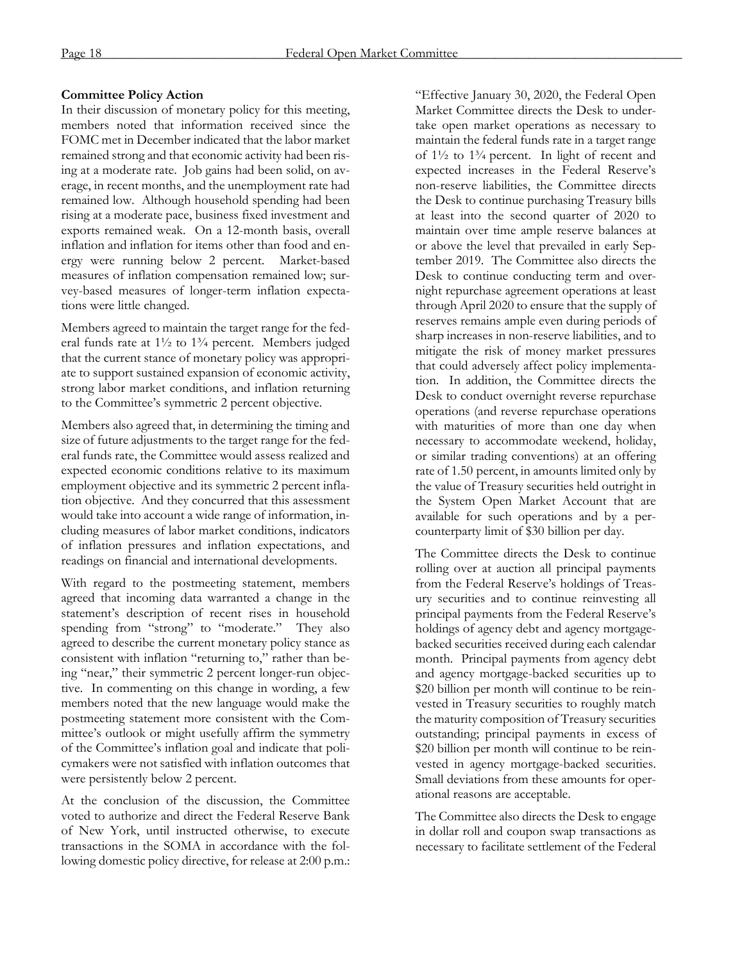# **Committee Policy Action**

In their discussion of monetary policy for this meeting, members noted that information received since the FOMC met in December indicated that the labor market remained strong and that economic activity had been rising at a moderate rate. Job gains had been solid, on average, in recent months, and the unemployment rate had remained low. Although household spending had been rising at a moderate pace, business fixed investment and exports remained weak. On a 12-month basis, overall inflation and inflation for items other than food and energy were running below 2 percent. Market-based measures of inflation compensation remained low; survey-based measures of longer-term inflation expectations were little changed.

Members agreed to maintain the target range for the federal funds rate at  $1\frac{1}{2}$  to  $1\frac{3}{4}$  percent. Members judged that the current stance of monetary policy was appropriate to support sustained expansion of economic activity, strong labor market conditions, and inflation returning to the Committee's symmetric 2 percent objective.

Members also agreed that, in determining the timing and size of future adjustments to the target range for the federal funds rate, the Committee would assess realized and expected economic conditions relative to its maximum employment objective and its symmetric 2 percent inflation objective. And they concurred that this assessment would take into account a wide range of information, including measures of labor market conditions, indicators of inflation pressures and inflation expectations, and readings on financial and international developments.

With regard to the postmeeting statement, members agreed that incoming data warranted a change in the statement's description of recent rises in household spending from "strong" to "moderate." They also agreed to describe the current monetary policy stance as consistent with inflation "returning to," rather than being "near," their symmetric 2 percent longer-run objective. In commenting on this change in wording, a few members noted that the new language would make the postmeeting statement more consistent with the Committee's outlook or might usefully affirm the symmetry of the Committee's inflation goal and indicate that policymakers were not satisfied with inflation outcomes that were persistently below 2 percent.

At the conclusion of the discussion, the Committee voted to authorize and direct the Federal Reserve Bank of New York, until instructed otherwise, to execute transactions in the SOMA in accordance with the following domestic policy directive, for release at 2:00 p.m.: "Effective January 30, 2020, the Federal Open Market Committee directs the Desk to undertake open market operations as necessary to maintain the federal funds rate in a target range of  $1\frac{1}{2}$  to  $1\frac{3}{4}$  percent. In light of recent and expected increases in the Federal Reserve's non-reserve liabilities, the Committee directs the Desk to continue purchasing Treasury bills at least into the second quarter of 2020 to maintain over time ample reserve balances at or above the level that prevailed in early September 2019. The Committee also directs the Desk to continue conducting term and overnight repurchase agreement operations at least through April 2020 to ensure that the supply of reserves remains ample even during periods of sharp increases in non-reserve liabilities, and to mitigate the risk of money market pressures that could adversely affect policy implementation. In addition, the Committee directs the Desk to conduct overnight reverse repurchase operations (and reverse repurchase operations with maturities of more than one day when necessary to accommodate weekend, holiday, or similar trading conventions) at an offering rate of 1.50 percent, in amounts limited only by the value of Treasury securities held outright in the System Open Market Account that are available for such operations and by a percounterparty limit of \$30 billion per day.

The Committee directs the Desk to continue rolling over at auction all principal payments from the Federal Reserve's holdings of Treasury securities and to continue reinvesting all principal payments from the Federal Reserve's holdings of agency debt and agency mortgagebacked securities received during each calendar month. Principal payments from agency debt and agency mortgage-backed securities up to \$20 billion per month will continue to be reinvested in Treasury securities to roughly match the maturity composition of Treasury securities outstanding; principal payments in excess of \$20 billion per month will continue to be reinvested in agency mortgage-backed securities. Small deviations from these amounts for operational reasons are acceptable.

The Committee also directs the Desk to engage in dollar roll and coupon swap transactions as necessary to facilitate settlement of the Federal